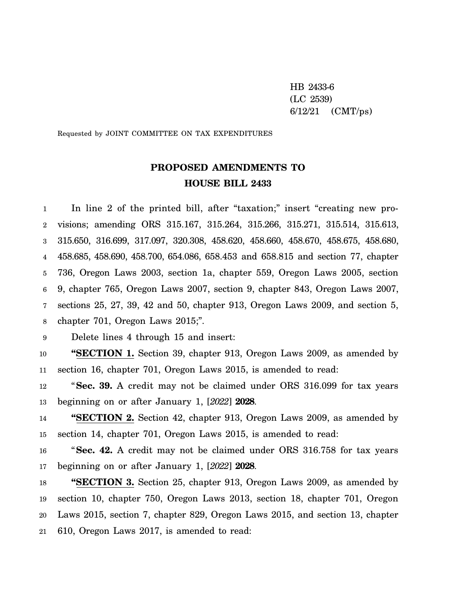HB 2433-6 (LC 2539) 6/12/21 (CMT/ps)

Requested by JOINT COMMITTEE ON TAX EXPENDITURES

# **PROPOSED AMENDMENTS TO HOUSE BILL 2433**

1 2 3 4 5 6 7 8 In line 2 of the printed bill, after "taxation;" insert "creating new provisions; amending ORS 315.167, 315.264, 315.266, 315.271, 315.514, 315.613, 315.650, 316.699, 317.097, 320.308, 458.620, 458.660, 458.670, 458.675, 458.680, 458.685, 458.690, 458.700, 654.086, 658.453 and 658.815 and section 77, chapter 736, Oregon Laws 2003, section 1a, chapter 559, Oregon Laws 2005, section 9, chapter 765, Oregon Laws 2007, section 9, chapter 843, Oregon Laws 2007, sections 25, 27, 39, 42 and 50, chapter 913, Oregon Laws 2009, and section 5, chapter 701, Oregon Laws 2015;".

9 Delete lines 4 through 15 and insert:

10 11 **"SECTION 1.** Section 39, chapter 913, Oregon Laws 2009, as amended by section 16, chapter 701, Oregon Laws 2015, is amended to read:

12 13 "**Sec. 39.** A credit may not be claimed under ORS 316.099 for tax years beginning on or after January 1, [*2022*] **2028**.

14 15 **"SECTION 2.** Section 42, chapter 913, Oregon Laws 2009, as amended by section 14, chapter 701, Oregon Laws 2015, is amended to read:

16 17 "**Sec. 42.** A credit may not be claimed under ORS 316.758 for tax years beginning on or after January 1, [*2022*] **2028**.

18 19 20 21 **"SECTION 3.** Section 25, chapter 913, Oregon Laws 2009, as amended by section 10, chapter 750, Oregon Laws 2013, section 18, chapter 701, Oregon Laws 2015, section 7, chapter 829, Oregon Laws 2015, and section 13, chapter 610, Oregon Laws 2017, is amended to read: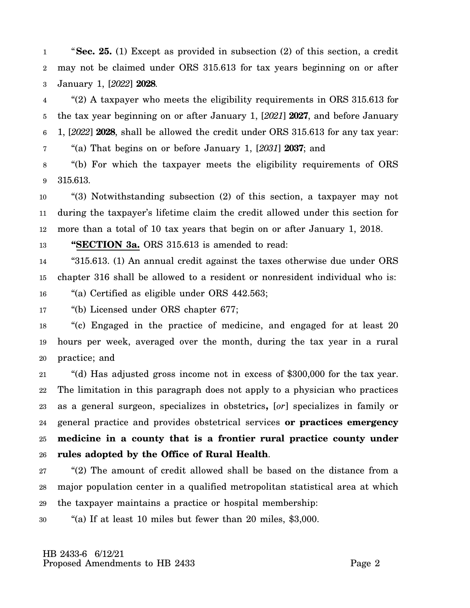1 2 3 "**Sec. 25.** (1) Except as provided in subsection (2) of this section, a credit may not be claimed under ORS 315.613 for tax years beginning on or after January 1, [*2022*] **2028**.

4 5 6 7 "(2) A taxpayer who meets the eligibility requirements in ORS 315.613 for the tax year beginning on or after January 1, [*2021*] **2027**, and before January 1, [*2022*] **2028**, shall be allowed the credit under ORS 315.613 for any tax year: "(a) That begins on or before January 1, [*2031*] **2037**; and

8 9 "(b) For which the taxpayer meets the eligibility requirements of ORS 315.613.

10 11 12 "(3) Notwithstanding subsection (2) of this section, a taxpayer may not during the taxpayer's lifetime claim the credit allowed under this section for more than a total of 10 tax years that begin on or after January 1, 2018.

13 **"SECTION 3a.** ORS 315.613 is amended to read:

14 15 "315.613. (1) An annual credit against the taxes otherwise due under ORS chapter 316 shall be allowed to a resident or nonresident individual who is:

16 "(a) Certified as eligible under ORS 442.563;

17 "(b) Licensed under ORS chapter 677;

18 19 20 "(c) Engaged in the practice of medicine, and engaged for at least 20 hours per week, averaged over the month, during the tax year in a rural practice; and

21 22 23 24 25 26 "(d) Has adjusted gross income not in excess of \$300,000 for the tax year. The limitation in this paragraph does not apply to a physician who practices as a general surgeon, specializes in obstetrics**,** [*or*] specializes in family or general practice and provides obstetrical services **or practices emergency medicine in a county that is a frontier rural practice county under rules adopted by the Office of Rural Health**.

27 28 29 "(2) The amount of credit allowed shall be based on the distance from a major population center in a qualified metropolitan statistical area at which the taxpayer maintains a practice or hospital membership:

30 "(a) If at least 10 miles but fewer than 20 miles, \$3,000.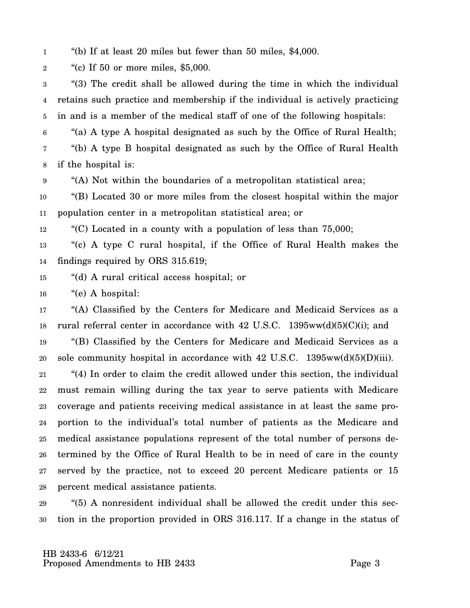1 "(b) If at least 20 miles but fewer than 50 miles, \$4,000.

2 "(c) If 50 or more miles, \$5,000.

3 4 5 "(3) The credit shall be allowed during the time in which the individual retains such practice and membership if the individual is actively practicing in and is a member of the medical staff of one of the following hospitals:

6 "(a) A type A hospital designated as such by the Office of Rural Health;

7 8 "(b) A type B hospital designated as such by the Office of Rural Health if the hospital is:

9 "(A) Not within the boundaries of a metropolitan statistical area;

10 11 "(B) Located 30 or more miles from the closest hospital within the major population center in a metropolitan statistical area; or

12 "(C) Located in a county with a population of less than 75,000;

13 14 "(c) A type C rural hospital, if the Office of Rural Health makes the findings required by ORS 315.619;

- 15 "(d) A rural critical access hospital; or
- 16 "(e) A hospital:

17 18 19 20 "(A) Classified by the Centers for Medicare and Medicaid Services as a rural referral center in accordance with  $42 \text{ U.S.C. } 1395 \text{ww}(d)(5)(C)(i)$ ; and "(B) Classified by the Centers for Medicare and Medicaid Services as a sole community hospital in accordance with  $42 \text{ U.S.C. } 1395 \text{ww}(d)(5)(D)(iii)$ .

21 22 23 24 25 26 27 28 "(4) In order to claim the credit allowed under this section, the individual must remain willing during the tax year to serve patients with Medicare coverage and patients receiving medical assistance in at least the same proportion to the individual's total number of patients as the Medicare and medical assistance populations represent of the total number of persons determined by the Office of Rural Health to be in need of care in the county served by the practice, not to exceed 20 percent Medicare patients or 15 percent medical assistance patients.

29 30 "(5) A nonresident individual shall be allowed the credit under this section in the proportion provided in ORS 316.117. If a change in the status of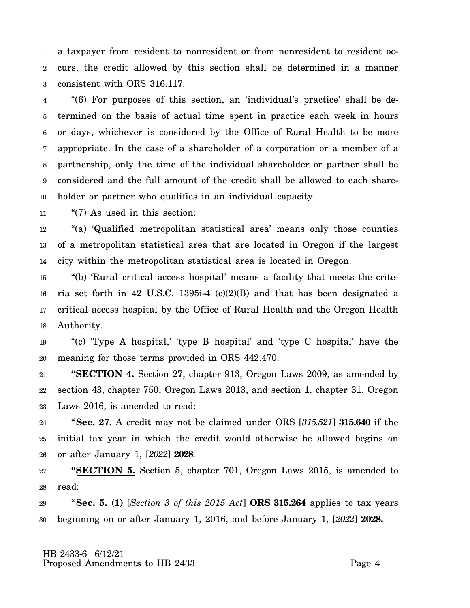1 2 3 a taxpayer from resident to nonresident or from nonresident to resident occurs, the credit allowed by this section shall be determined in a manner consistent with ORS 316.117.

4 5 6 7 8 9 10 "(6) For purposes of this section, an 'individual's practice' shall be determined on the basis of actual time spent in practice each week in hours or days, whichever is considered by the Office of Rural Health to be more appropriate. In the case of a shareholder of a corporation or a member of a partnership, only the time of the individual shareholder or partner shall be considered and the full amount of the credit shall be allowed to each shareholder or partner who qualifies in an individual capacity.

11 "(7) As used in this section:

12 13 14 "(a) 'Qualified metropolitan statistical area' means only those counties of a metropolitan statistical area that are located in Oregon if the largest city within the metropolitan statistical area is located in Oregon.

15 16 17 18 "(b) 'Rural critical access hospital' means a facility that meets the criteria set forth in 42 U.S.C. 1395i-4 (c)(2)(B) and that has been designated a critical access hospital by the Office of Rural Health and the Oregon Health Authority.

19 20 "(c) 'Type A hospital,' 'type B hospital' and 'type C hospital' have the meaning for those terms provided in ORS 442.470.

21 22 23 **"SECTION 4.** Section 27, chapter 913, Oregon Laws 2009, as amended by section 43, chapter 750, Oregon Laws 2013, and section 1, chapter 31, Oregon Laws 2016, is amended to read:

24 25 26 "**Sec. 27.** A credit may not be claimed under ORS [*315.521*] **315.640** if the initial tax year in which the credit would otherwise be allowed begins on or after January 1, [*2022*] **2028**.

27 28 **"SECTION 5.** Section 5, chapter 701, Oregon Laws 2015, is amended to read:

29 30 "**Sec. 5. (1)** [*Section 3 of this 2015 Act*] **ORS 315.264** applies to tax years beginning on or after January 1, 2016, and before January 1, [*2022*] **2028.**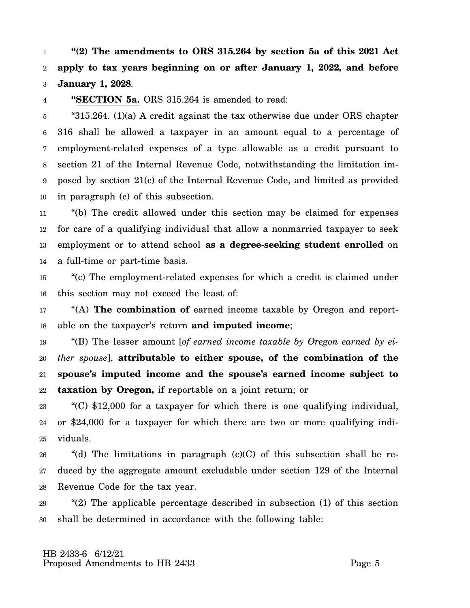1 2 3 **"(2) The amendments to ORS 315.264 by section 5a of this 2021 Act apply to tax years beginning on or after January 1, 2022, and before January 1, 2028**.

4 **"SECTION 5a.** ORS 315.264 is amended to read:

5 6 7 8 9 10 "315.264. (1)(a) A credit against the tax otherwise due under ORS chapter 316 shall be allowed a taxpayer in an amount equal to a percentage of employment-related expenses of a type allowable as a credit pursuant to section 21 of the Internal Revenue Code, notwithstanding the limitation imposed by section 21(c) of the Internal Revenue Code, and limited as provided in paragraph (c) of this subsection.

11 12 13 14 "(b) The credit allowed under this section may be claimed for expenses for care of a qualifying individual that allow a nonmarried taxpayer to seek employment or to attend school **as a degree-seeking student enrolled** on a full-time or part-time basis.

15 16 "(c) The employment-related expenses for which a credit is claimed under this section may not exceed the least of:

17 18 "(A) **The combination of** earned income taxable by Oregon and reportable on the taxpayer's return **and imputed income**;

19 20 21 22 "(B) The lesser amount [*of earned income taxable by Oregon earned by either spouse*], **attributable to either spouse, of the combination of the spouse's imputed income and the spouse's earned income subject to taxation by Oregon,** if reportable on a joint return; or

23 24 25 "(C) \$12,000 for a taxpayer for which there is one qualifying individual, or \$24,000 for a taxpayer for which there are two or more qualifying individuals.

26 27 28 "(d) The limitations in paragraph  $(c)(C)$  of this subsection shall be reduced by the aggregate amount excludable under section 129 of the Internal Revenue Code for the tax year.

29 30 "(2) The applicable percentage described in subsection (1) of this section shall be determined in accordance with the following table: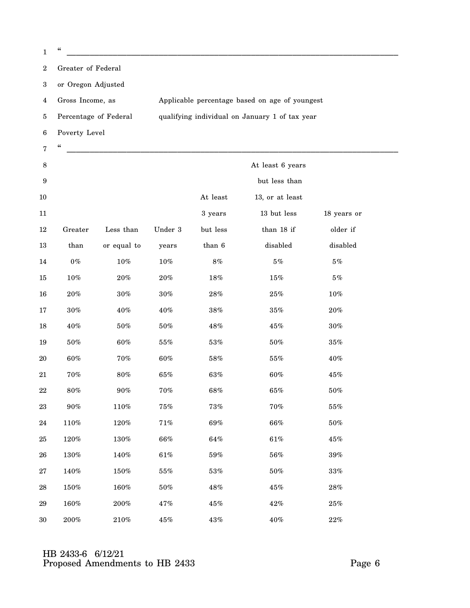|   | "                     |                                                |
|---|-----------------------|------------------------------------------------|
| 2 | Greater of Federal    |                                                |
| 3 | or Oregon Adjusted    |                                                |
| 4 | Gross Income, as      | Applicable percentage based on age of youngest |
| 5 | Percentage of Federal | qualifying individual on January 1 of tax year |
| 6 | Poverty Level         |                                                |
| 7 | "                     |                                                |

| $\,8\,$          |         |             |         |          | At least 6 years |             |  |
|------------------|---------|-------------|---------|----------|------------------|-------------|--|
| $\boldsymbol{9}$ |         |             |         |          | but less than    |             |  |
| $10\,$           |         |             |         | At least | 13, or at least  |             |  |
| 11               |         |             |         | 3 years  | 13 but less      | 18 years or |  |
| $12\,$           | Greater | Less than   | Under 3 | but less | than 18 if       | older if    |  |
| $13\,$           | than    | or equal to | years   | than 6   | disable          | disabled    |  |
| $14\,$           | $0\,\%$ | $10\%$      | $10\%$  | $8\,\%$  | $5\,\%$          | $5\,\%$     |  |
| $15\,$           | $10\%$  | $20\%$      | $20\%$  | $18\%$   | $15\%$           | $5\,\%$     |  |
| $16\,$           | $20\%$  | $30\%$      | $30\%$  | $28\%$   | $25\%$           | $10\%$      |  |
| $17\,$           | $30\%$  | $40\%$      | $40\%$  | $38\%$   | $35\%$           | $20\%$      |  |
| $18\,$           | $40\%$  | $50\%$      | $50\%$  | $48\%$   | $45\%$           | $30\%$      |  |
| $19\,$           | $50\%$  | $60\%$      | $55\%$  | $53\%$   | $50\%$           | $35\%$      |  |
| $20\,$           | 60%     | $70\%$      | $60\%$  | $58\%$   | $55\%$           | $40\%$      |  |
| $21\,$           | $70\%$  | $80\%$      | $65\%$  | 63%      | 60%              | $45\%$      |  |
| $22\,$           | $80\%$  | $90\%$      | $70\%$  | $68\%$   | $65\%$           | $50\%$      |  |
| $\bf 23$         | $90\%$  | $110\%$     | $75\%$  | $73\%$   | $70\%$           | $55\%$      |  |
| $24\,$           | $110\%$ | $120\%$     | $71\%$  | $69\%$   | $66\%$           | $50\%$      |  |
| $25\,$           | $120\%$ | $130\%$     | $66\%$  | $64\%$   | $61\%$           | $45\%$      |  |
| ${\bf 26}$       | $130\%$ | 140%        | $61\%$  | $59\%$   | $56\%$           | $39\%$      |  |
| $\sqrt{27}$      | 140%    | $150\%$     | $55\%$  | $53\%$   | $50\%$           | $33\%$      |  |
| ${\bf 28}$       | $150\%$ | 160%        | $50\%$  | $48\%$   | $45\%$           | $28\%$      |  |
| 29               | 160%    | $200\%$     | 47%     | $45\%$   | $42\%$           | $25\%$      |  |
| 30               | $200\%$ | 210%        | $45\%$  | $43\%$   | 40%              | 22%         |  |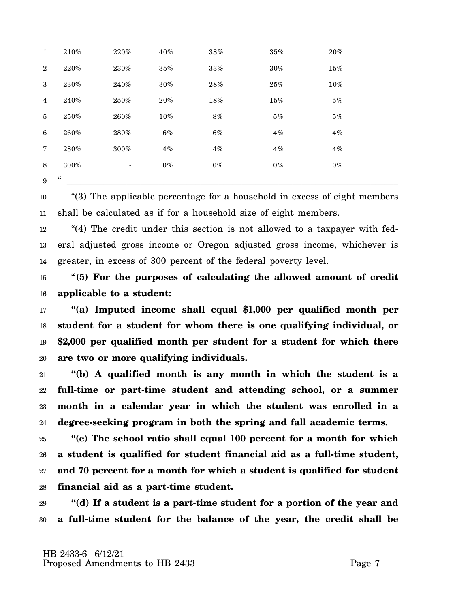| 9               | $\boldsymbol{\zeta}\boldsymbol{\zeta}$ |                          |        |        |        |        |  |
|-----------------|----------------------------------------|--------------------------|--------|--------|--------|--------|--|
| 8               | 300%                                   | $\overline{\phantom{a}}$ | $0\%$  | $0\%$  | $0\%$  | $0\%$  |  |
| $7\phantom{.0}$ | 280%                                   | 300%                     | $4\%$  | $4\%$  | $4\%$  | $4\%$  |  |
| 6               | 260%                                   | 280%                     | $6\%$  | $6\%$  | $4\%$  | 4%     |  |
| 5               | 250%                                   | 260%                     | $10\%$ | $8\%$  | $5\%$  | $5\%$  |  |
| $\overline{4}$  | 240%                                   | 250%                     | $20\%$ | $18\%$ | 15%    | 5%     |  |
| 3               | $230\%$                                | 240%                     | $30\%$ | $28\%$ | $25\%$ | $10\%$ |  |
| $\overline{2}$  | 220%                                   | 230%                     | 35%    | $33\%$ | $30\%$ | 15%    |  |
| $\mathbf{1}$    | 210%                                   | 220%                     | 40%    | $38\%$ | 35%    | $20\%$ |  |

10 11 "(3) The applicable percentage for a household in excess of eight members shall be calculated as if for a household size of eight members.

12 13 14 "(4) The credit under this section is not allowed to a taxpayer with federal adjusted gross income or Oregon adjusted gross income, whichever is greater, in excess of 300 percent of the federal poverty level.

15 16 "**(5) For the purposes of calculating the allowed amount of credit applicable to a student:**

17 18 19 20 **"(a) Imputed income shall equal \$1,000 per qualified month per student for a student for whom there is one qualifying individual, or \$2,000 per qualified month per student for a student for which there are two or more qualifying individuals.**

21 22 23 24 **"(b) A qualified month is any month in which the student is a full-time or part-time student and attending school, or a summer month in a calendar year in which the student was enrolled in a degree-seeking program in both the spring and fall academic terms.**

25 26 27 28 **"(c) The school ratio shall equal 100 percent for a month for which a student is qualified for student financial aid as a full-time student, and 70 percent for a month for which a student is qualified for student financial aid as a part-time student.**

29 30 **"(d) If a student is a part-time student for a portion of the year and a full-time student for the balance of the year, the credit shall be**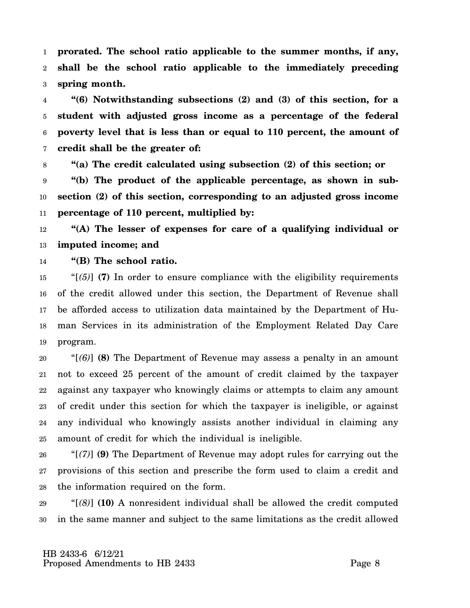1 2 3 **prorated. The school ratio applicable to the summer months, if any, shall be the school ratio applicable to the immediately preceding spring month.**

4 5 6 7 **"(6) Notwithstanding subsections (2) and (3) of this section, for a student with adjusted gross income as a percentage of the federal poverty level that is less than or equal to 110 percent, the amount of credit shall be the greater of:**

8 9 10 11 **"(a) The credit calculated using subsection (2) of this section; or "(b) The product of the applicable percentage, as shown in subsection (2) of this section, corresponding to an adjusted gross income percentage of 110 percent, multiplied by:**

12 13 **"(A) The lesser of expenses for care of a qualifying individual or imputed income; and**

14 **"(B) The school ratio.**

15 16 17 18 19 " $(5)$ ] (7) In order to ensure compliance with the eligibility requirements of the credit allowed under this section, the Department of Revenue shall be afforded access to utilization data maintained by the Department of Human Services in its administration of the Employment Related Day Care program.

20 21 22 23 24 25 "[*(6)*] **(8)** The Department of Revenue may assess a penalty in an amount not to exceed 25 percent of the amount of credit claimed by the taxpayer against any taxpayer who knowingly claims or attempts to claim any amount of credit under this section for which the taxpayer is ineligible, or against any individual who knowingly assists another individual in claiming any amount of credit for which the individual is ineligible.

26 27 28 "[*(7)*] **(9)** The Department of Revenue may adopt rules for carrying out the provisions of this section and prescribe the form used to claim a credit and the information required on the form.

29 30 "[*(8)*] **(10)** A nonresident individual shall be allowed the credit computed in the same manner and subject to the same limitations as the credit allowed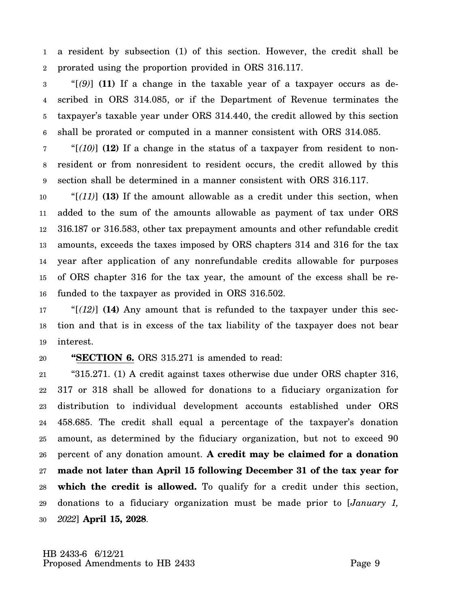1 2 a resident by subsection (1) of this section. However, the credit shall be prorated using the proportion provided in ORS 316.117.

3 4 5 6 "[*(9)*] **(11)** If a change in the taxable year of a taxpayer occurs as described in ORS 314.085, or if the Department of Revenue terminates the taxpayer's taxable year under ORS 314.440, the credit allowed by this section shall be prorated or computed in a manner consistent with ORS 314.085.

7 8 9 "[*(10)*] **(12)** If a change in the status of a taxpayer from resident to nonresident or from nonresident to resident occurs, the credit allowed by this section shall be determined in a manner consistent with ORS 316.117.

10 11 12 13 14 15 16 "[*(11)*] **(13)** If the amount allowable as a credit under this section, when added to the sum of the amounts allowable as payment of tax under ORS 316.187 or 316.583, other tax prepayment amounts and other refundable credit amounts, exceeds the taxes imposed by ORS chapters 314 and 316 for the tax year after application of any nonrefundable credits allowable for purposes of ORS chapter 316 for the tax year, the amount of the excess shall be refunded to the taxpayer as provided in ORS 316.502.

17 18 19 "[*(12)*] **(14)** Any amount that is refunded to the taxpayer under this section and that is in excess of the tax liability of the taxpayer does not bear interest.

### 20 **"SECTION 6.** ORS 315.271 is amended to read:

21 22 23 24 25 26 27 28 29 30 "315.271. (1) A credit against taxes otherwise due under ORS chapter 316, 317 or 318 shall be allowed for donations to a fiduciary organization for distribution to individual development accounts established under ORS 458.685. The credit shall equal a percentage of the taxpayer's donation amount, as determined by the fiduciary organization, but not to exceed 90 percent of any donation amount. **A credit may be claimed for a donation made not later than April 15 following December 31 of the tax year for** which the credit is allowed. To qualify for a credit under this section, donations to a fiduciary organization must be made prior to [*January 1, 2022*] **April 15, 2028**.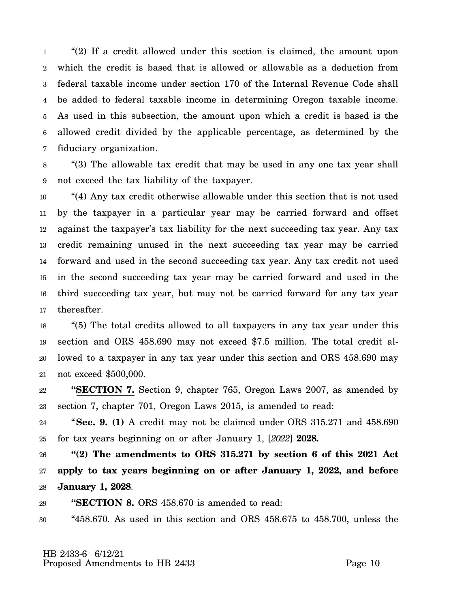1 2 3 4 5 6 7 "(2) If a credit allowed under this section is claimed, the amount upon which the credit is based that is allowed or allowable as a deduction from federal taxable income under section 170 of the Internal Revenue Code shall be added to federal taxable income in determining Oregon taxable income. As used in this subsection, the amount upon which a credit is based is the allowed credit divided by the applicable percentage, as determined by the fiduciary organization.

8 9 "(3) The allowable tax credit that may be used in any one tax year shall not exceed the tax liability of the taxpayer.

10 11 12 13 14 15 16 17 "(4) Any tax credit otherwise allowable under this section that is not used by the taxpayer in a particular year may be carried forward and offset against the taxpayer's tax liability for the next succeeding tax year. Any tax credit remaining unused in the next succeeding tax year may be carried forward and used in the second succeeding tax year. Any tax credit not used in the second succeeding tax year may be carried forward and used in the third succeeding tax year, but may not be carried forward for any tax year thereafter.

18 19 20 21 "(5) The total credits allowed to all taxpayers in any tax year under this section and ORS 458.690 may not exceed \$7.5 million. The total credit allowed to a taxpayer in any tax year under this section and ORS 458.690 may not exceed \$500,000.

22 23 **"SECTION 7.** Section 9, chapter 765, Oregon Laws 2007, as amended by section 7, chapter 701, Oregon Laws 2015, is amended to read:

24 25 "**Sec. 9. (1)** A credit may not be claimed under ORS 315.271 and 458.690 for tax years beginning on or after January 1, [*2022*] **2028.**

26 27 28 **"(2) The amendments to ORS 315.271 by section 6 of this 2021 Act apply to tax years beginning on or after January 1, 2022, and before January 1, 2028**.

29 **"SECTION 8.** ORS 458.670 is amended to read:

30 "458.670. As used in this section and ORS 458.675 to 458.700, unless the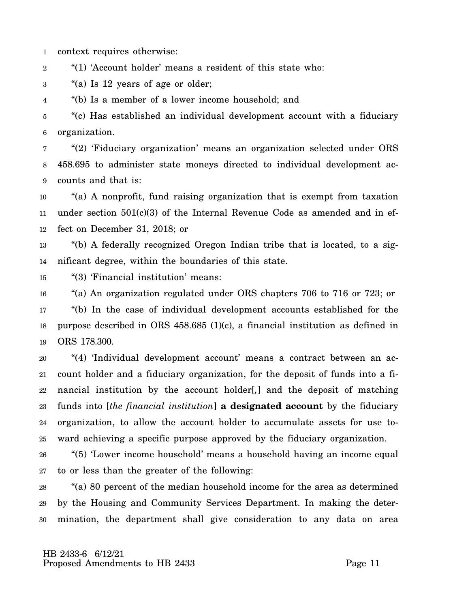1 context requires otherwise:

2 "(1) 'Account holder' means a resident of this state who:

3 "(a) Is 12 years of age or older;

4 "(b) Is a member of a lower income household; and

5 6 "(c) Has established an individual development account with a fiduciary organization.

7 8 9 "(2) 'Fiduciary organization' means an organization selected under ORS 458.695 to administer state moneys directed to individual development accounts and that is:

10 11 12 "(a) A nonprofit, fund raising organization that is exempt from taxation under section  $501(c)(3)$  of the Internal Revenue Code as amended and in effect on December 31, 2018; or

13 14 "(b) A federally recognized Oregon Indian tribe that is located, to a significant degree, within the boundaries of this state.

15 "(3) 'Financial institution' means:

16 17 18 19 "(a) An organization regulated under ORS chapters 706 to 716 or 723; or "(b) In the case of individual development accounts established for the purpose described in ORS 458.685 (1)(c), a financial institution as defined in ORS 178.300.

20 21 22 23 24 25 "(4) 'Individual development account' means a contract between an account holder and a fiduciary organization, for the deposit of funds into a financial institution by the account holder[*,*] and the deposit of matching funds into [*the financial institution*] **a designated account** by the fiduciary organization, to allow the account holder to accumulate assets for use toward achieving a specific purpose approved by the fiduciary organization.

26 27 "(5) 'Lower income household' means a household having an income equal to or less than the greater of the following:

28 29 30 "(a) 80 percent of the median household income for the area as determined by the Housing and Community Services Department. In making the determination, the department shall give consideration to any data on area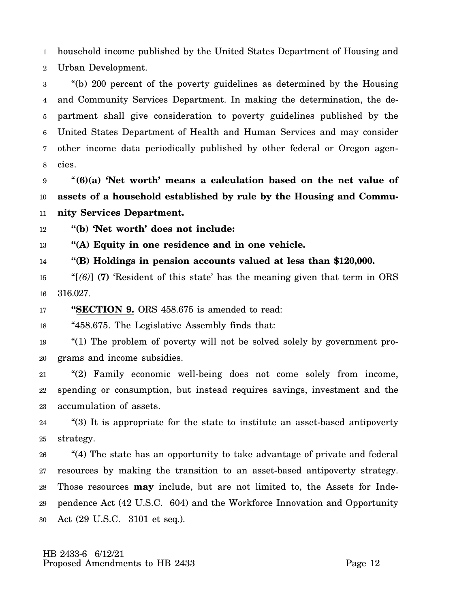1 2 household income published by the United States Department of Housing and Urban Development.

3 4 5 6 7 8 "(b) 200 percent of the poverty guidelines as determined by the Housing and Community Services Department. In making the determination, the department shall give consideration to poverty guidelines published by the United States Department of Health and Human Services and may consider other income data periodically published by other federal or Oregon agencies.

9 10 11 "**(6)(a) 'Net worth' means a calculation based on the net value of assets of a household established by rule by the Housing and Community Services Department.**

12 **"(b) 'Net worth' does not include:**

13 **"(A) Equity in one residence and in one vehicle.**

14 **"(B) Holdings in pension accounts valued at less than \$120,000.**

15 16 "[*(6)*] **(7)** 'Resident of this state' has the meaning given that term in ORS 316.027.

17 **"SECTION 9.** ORS 458.675 is amended to read:

18 "458.675. The Legislative Assembly finds that:

19 20 "(1) The problem of poverty will not be solved solely by government programs and income subsidies.

21 22 23 "(2) Family economic well-being does not come solely from income, spending or consumption, but instead requires savings, investment and the accumulation of assets.

24 25 "(3) It is appropriate for the state to institute an asset-based antipoverty strategy.

26 27 28 29 30 "(4) The state has an opportunity to take advantage of private and federal resources by making the transition to an asset-based antipoverty strategy. Those resources **may** include, but are not limited to, the Assets for Independence Act (42 U.S.C. 604) and the Workforce Innovation and Opportunity Act (29 U.S.C. 3101 et seq.).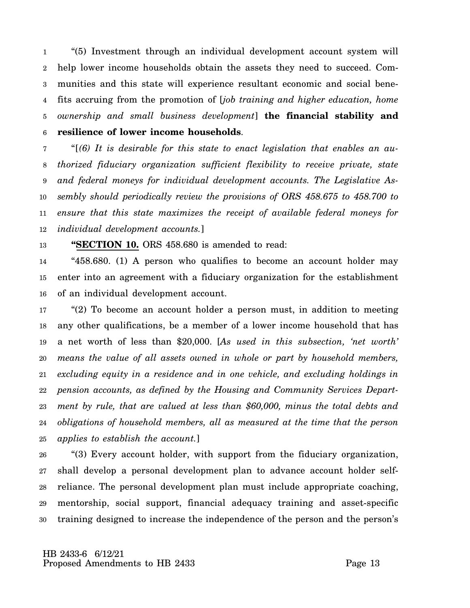1 2 3 4 5 6 "(5) Investment through an individual development account system will help lower income households obtain the assets they need to succeed. Communities and this state will experience resultant economic and social benefits accruing from the promotion of [*job training and higher education, home ownership and small business development*] **the financial stability and resilience of lower income households**.

7 8 9 10 11 12 "[*(6) It is desirable for this state to enact legislation that enables an authorized fiduciary organization sufficient flexibility to receive private, state and federal moneys for individual development accounts. The Legislative Assembly should periodically review the provisions of ORS 458.675 to 458.700 to ensure that this state maximizes the receipt of available federal moneys for individual development accounts.*]

13 **"SECTION 10.** ORS 458.680 is amended to read:

14 15 16 "458.680. (1) A person who qualifies to become an account holder may enter into an agreement with a fiduciary organization for the establishment of an individual development account.

17 18 19 20 21 22 23 24 25 "(2) To become an account holder a person must, in addition to meeting any other qualifications, be a member of a lower income household that has a net worth of less than \$20,000. [*As used in this subsection, 'net worth' means the value of all assets owned in whole or part by household members, excluding equity in a residence and in one vehicle, and excluding holdings in pension accounts, as defined by the Housing and Community Services Department by rule, that are valued at less than \$60,000, minus the total debts and obligations of household members, all as measured at the time that the person applies to establish the account.*]

26 27 28 29 30 "(3) Every account holder, with support from the fiduciary organization, shall develop a personal development plan to advance account holder selfreliance. The personal development plan must include appropriate coaching, mentorship, social support, financial adequacy training and asset-specific training designed to increase the independence of the person and the person's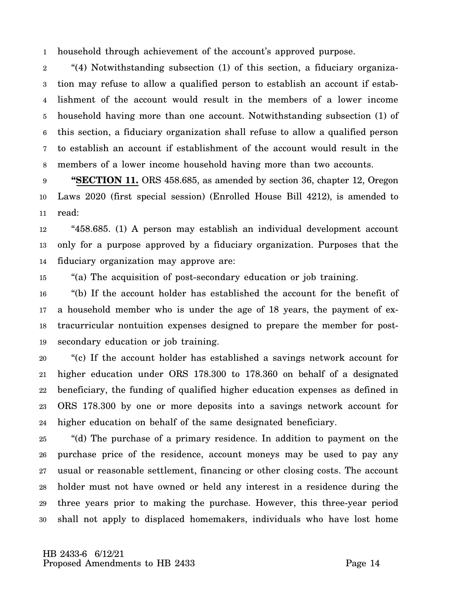1 household through achievement of the account's approved purpose.

2 3 4 5 6 7 8 "(4) Notwithstanding subsection (1) of this section, a fiduciary organization may refuse to allow a qualified person to establish an account if establishment of the account would result in the members of a lower income household having more than one account. Notwithstanding subsection (1) of this section, a fiduciary organization shall refuse to allow a qualified person to establish an account if establishment of the account would result in the members of a lower income household having more than two accounts.

9 10 11 **"SECTION 11.** ORS 458.685, as amended by section 36, chapter 12, Oregon Laws 2020 (first special session) (Enrolled House Bill 4212), is amended to read:

12 13 14 "458.685. (1) A person may establish an individual development account only for a purpose approved by a fiduciary organization. Purposes that the fiduciary organization may approve are:

15 "(a) The acquisition of post-secondary education or job training.

16 17 18 19 "(b) If the account holder has established the account for the benefit of a household member who is under the age of 18 years, the payment of extracurricular nontuition expenses designed to prepare the member for postsecondary education or job training.

20 21 22 23 24 "(c) If the account holder has established a savings network account for higher education under ORS 178.300 to 178.360 on behalf of a designated beneficiary, the funding of qualified higher education expenses as defined in ORS 178.300 by one or more deposits into a savings network account for higher education on behalf of the same designated beneficiary.

25 26 27 28 29 30 "(d) The purchase of a primary residence. In addition to payment on the purchase price of the residence, account moneys may be used to pay any usual or reasonable settlement, financing or other closing costs. The account holder must not have owned or held any interest in a residence during the three years prior to making the purchase. However, this three-year period shall not apply to displaced homemakers, individuals who have lost home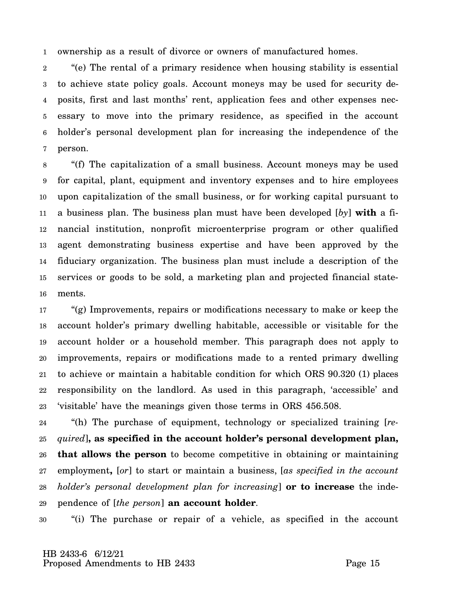1 ownership as a result of divorce or owners of manufactured homes.

2 3 4 5 6 7 "(e) The rental of a primary residence when housing stability is essential to achieve state policy goals. Account moneys may be used for security deposits, first and last months' rent, application fees and other expenses necessary to move into the primary residence, as specified in the account holder's personal development plan for increasing the independence of the person.

8 9 10 11 12 13 14 15 16 "(f) The capitalization of a small business. Account moneys may be used for capital, plant, equipment and inventory expenses and to hire employees upon capitalization of the small business, or for working capital pursuant to a business plan. The business plan must have been developed [*by*] **with** a financial institution, nonprofit microenterprise program or other qualified agent demonstrating business expertise and have been approved by the fiduciary organization. The business plan must include a description of the services or goods to be sold, a marketing plan and projected financial statements.

17 18 19 20 21 22 23 "(g) Improvements, repairs or modifications necessary to make or keep the account holder's primary dwelling habitable, accessible or visitable for the account holder or a household member. This paragraph does not apply to improvements, repairs or modifications made to a rented primary dwelling to achieve or maintain a habitable condition for which ORS 90.320 (1) places responsibility on the landlord. As used in this paragraph, 'accessible' and 'visitable' have the meanings given those terms in ORS 456.508.

24 25 26 27 28 29 "(h) The purchase of equipment, technology or specialized training [*required*]**, as specified in the account holder's personal development plan, that allows the person** to become competitive in obtaining or maintaining employment**,** [*or*] to start or maintain a business, [*as specified in the account holder's personal development plan for increasing*] **or to increase** the independence of [*the person*] **an account holder**.

30 "(i) The purchase or repair of a vehicle, as specified in the account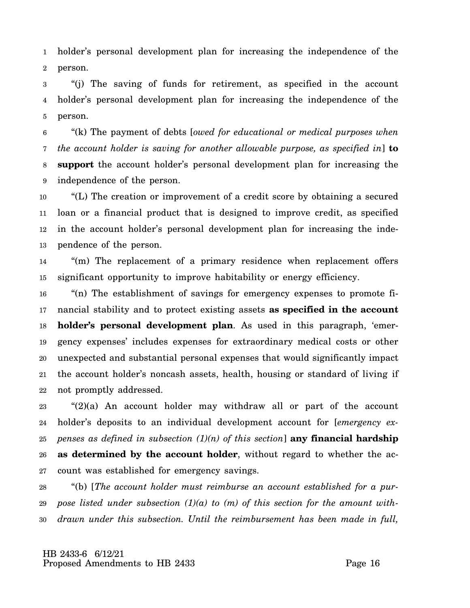1 2 holder's personal development plan for increasing the independence of the person.

3 4 5 "(j) The saving of funds for retirement, as specified in the account holder's personal development plan for increasing the independence of the person.

6 7 8 9 "(k) The payment of debts [*owed for educational or medical purposes when the account holder is saving for another allowable purpose, as specified in*] **to support** the account holder's personal development plan for increasing the independence of the person.

10 11 12 13 "(L) The creation or improvement of a credit score by obtaining a secured loan or a financial product that is designed to improve credit, as specified in the account holder's personal development plan for increasing the independence of the person.

14 15 "(m) The replacement of a primary residence when replacement offers significant opportunity to improve habitability or energy efficiency.

16 17 18 19 20 21 22 "(n) The establishment of savings for emergency expenses to promote financial stability and to protect existing assets **as specified in the account holder's personal development plan**. As used in this paragraph, 'emergency expenses' includes expenses for extraordinary medical costs or other unexpected and substantial personal expenses that would significantly impact the account holder's noncash assets, health, housing or standard of living if not promptly addressed.

23 24 25 26 27 "(2)(a) An account holder may withdraw all or part of the account holder's deposits to an individual development account for [*emergency expenses as defined in subsection (1)(n) of this section*] **any financial hardship as determined by the account holder**, without regard to whether the account was established for emergency savings.

28 29 30 "(b) [*The account holder must reimburse an account established for a purpose listed under subsection (1)(a) to (m) of this section for the amount withdrawn under this subsection. Until the reimbursement has been made in full,*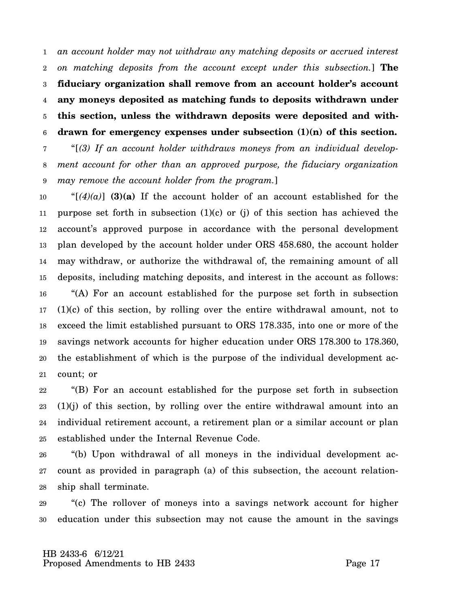1 2 3 4 5 6 *an account holder may not withdraw any matching deposits or accrued interest on matching deposits from the account except under this subsection.*] **The fiduciary organization shall remove from an account holder's account any moneys deposited as matching funds to deposits withdrawn under this section, unless the withdrawn deposits were deposited and withdrawn for emergency expenses under subsection (1)(n) of this section.**

7 8 9 "[*(3) If an account holder withdraws moneys from an individual development account for other than an approved purpose, the fiduciary organization may remove the account holder from the program.*]

10 11 12 13 14 15 16 17 18 19 20 21 " $[(4)(a)]$  (3)(a) If the account holder of an account established for the purpose set forth in subsection  $(1)(c)$  or  $(i)$  of this section has achieved the account's approved purpose in accordance with the personal development plan developed by the account holder under ORS 458.680, the account holder may withdraw, or authorize the withdrawal of, the remaining amount of all deposits, including matching deposits, and interest in the account as follows: "(A) For an account established for the purpose set forth in subsection (1)(c) of this section, by rolling over the entire withdrawal amount, not to exceed the limit established pursuant to ORS 178.335, into one or more of the savings network accounts for higher education under ORS 178.300 to 178.360, the establishment of which is the purpose of the individual development account; or

22 23 24 25 "(B) For an account established for the purpose set forth in subsection (1)(j) of this section, by rolling over the entire withdrawal amount into an individual retirement account, a retirement plan or a similar account or plan established under the Internal Revenue Code.

26 27 28 "(b) Upon withdrawal of all moneys in the individual development account as provided in paragraph (a) of this subsection, the account relationship shall terminate.

29 30 "(c) The rollover of moneys into a savings network account for higher education under this subsection may not cause the amount in the savings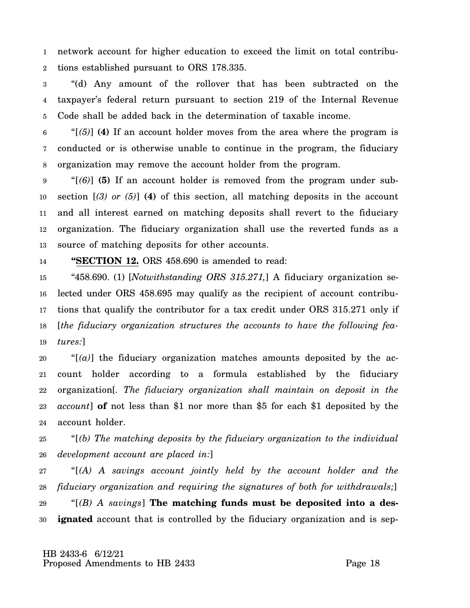1 2 network account for higher education to exceed the limit on total contributions established pursuant to ORS 178.335.

3 4 5 "(d) Any amount of the rollover that has been subtracted on the taxpayer's federal return pursuant to section 219 of the Internal Revenue Code shall be added back in the determination of taxable income.

6 7 8 "[*(5)*] **(4)** If an account holder moves from the area where the program is conducted or is otherwise unable to continue in the program, the fiduciary organization may remove the account holder from the program.

9 10 11 12 13 "[*(6)*] **(5)** If an account holder is removed from the program under subsection [*(3) or (5)*] **(4)** of this section, all matching deposits in the account and all interest earned on matching deposits shall revert to the fiduciary organization. The fiduciary organization shall use the reverted funds as a source of matching deposits for other accounts.

### 14 **"SECTION 12.** ORS 458.690 is amended to read:

15 16 17 18 19 "458.690. (1) [*Notwithstanding ORS 315.271,*] A fiduciary organization selected under ORS 458.695 may qualify as the recipient of account contributions that qualify the contributor for a tax credit under ORS 315.271 only if [*the fiduciary organization structures the accounts to have the following features:*]

20 21 22 23 24  $\mathcal{L}[(a)]$  the fiduciary organization matches amounts deposited by the account holder according to a formula established by the fiduciary organization[*. The fiduciary organization shall maintain on deposit in the account*] **of** not less than \$1 nor more than \$5 for each \$1 deposited by the account holder.

25 26 "[*(b) The matching deposits by the fiduciary organization to the individual development account are placed in:*]

27 28 "[*(A) A savings account jointly held by the account holder and the fiduciary organization and requiring the signatures of both for withdrawals;*]

29 30 "[*(B) A savings*] **The matching funds must be deposited into a designated** account that is controlled by the fiduciary organization and is sep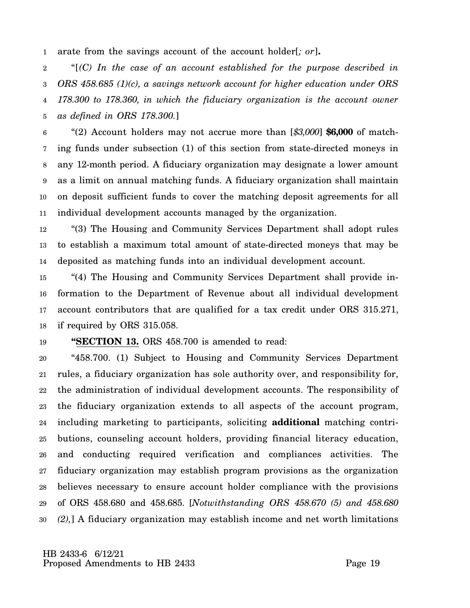1 arate from the savings account of the account holder[*; or*]**.**

2 3 4 5 "[*(C) In the case of an account established for the purpose described in ORS 458.685 (1)(c), a savings network account for higher education under ORS 178.300 to 178.360, in which the fiduciary organization is the account owner as defined in ORS 178.300.*]

6 7 8 9 10 11 "(2) Account holders may not accrue more than [*\$3,000*] **\$6,000** of matching funds under subsection (1) of this section from state-directed moneys in any 12-month period. A fiduciary organization may designate a lower amount as a limit on annual matching funds. A fiduciary organization shall maintain on deposit sufficient funds to cover the matching deposit agreements for all individual development accounts managed by the organization.

12 13 14 "(3) The Housing and Community Services Department shall adopt rules to establish a maximum total amount of state-directed moneys that may be deposited as matching funds into an individual development account.

15 16 17 18 "(4) The Housing and Community Services Department shall provide information to the Department of Revenue about all individual development account contributors that are qualified for a tax credit under ORS 315.271, if required by ORS 315.058.

19 **"SECTION 13.** ORS 458.700 is amended to read:

20 21 22 23 24 25 26 27 28 29 30 "458.700. (1) Subject to Housing and Community Services Department rules, a fiduciary organization has sole authority over, and responsibility for, the administration of individual development accounts. The responsibility of the fiduciary organization extends to all aspects of the account program, including marketing to participants, soliciting **additional** matching contributions, counseling account holders, providing financial literacy education, and conducting required verification and compliances activities. The fiduciary organization may establish program provisions as the organization believes necessary to ensure account holder compliance with the provisions of ORS 458.680 and 458.685. [*Notwithstanding ORS 458.670 (5) and 458.680 (2),*] A fiduciary organization may establish income and net worth limitations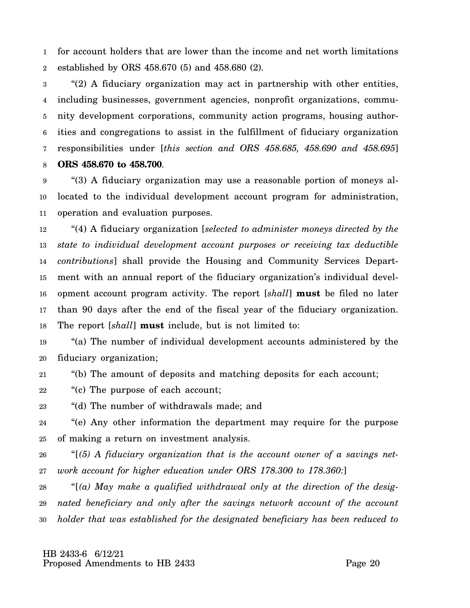1 2 for account holders that are lower than the income and net worth limitations established by ORS 458.670 (5) and 458.680 (2).

3 4 5 6 7 8 "(2) A fiduciary organization may act in partnership with other entities, including businesses, government agencies, nonprofit organizations, community development corporations, community action programs, housing authorities and congregations to assist in the fulfillment of fiduciary organization responsibilities under [*this section and ORS 458.685, 458.690 and 458.695*] **ORS 458.670 to 458.700**.

9 10 11 "(3) A fiduciary organization may use a reasonable portion of moneys allocated to the individual development account program for administration, operation and evaluation purposes.

12 13 14 15 16 17 18 "(4) A fiduciary organization [*selected to administer moneys directed by the state to individual development account purposes or receiving tax deductible contributions*] shall provide the Housing and Community Services Department with an annual report of the fiduciary organization's individual development account program activity. The report [*shall*] **must** be filed no later than 90 days after the end of the fiscal year of the fiduciary organization. The report [*shall*] **must** include, but is not limited to:

19 20 "(a) The number of individual development accounts administered by the fiduciary organization;

21 "(b) The amount of deposits and matching deposits for each account;

22 "(c) The purpose of each account;

23 "(d) The number of withdrawals made; and

24 25 "(e) Any other information the department may require for the purpose of making a return on investment analysis.

26 27 "[*(5) A fiduciary organization that is the account owner of a savings network account for higher education under ORS 178.300 to 178.360:*]

28 29 30 "[*(a) May make a qualified withdrawal only at the direction of the designated beneficiary and only after the savings network account of the account holder that was established for the designated beneficiary has been reduced to*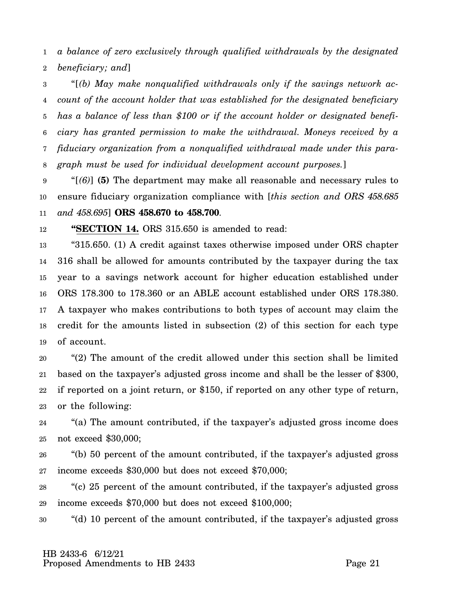1 2 *a balance of zero exclusively through qualified withdrawals by the designated beneficiary; and*]

3 4 5 6 7 8 "[*(b) May make nonqualified withdrawals only if the savings network account of the account holder that was established for the designated beneficiary has a balance of less than \$100 or if the account holder or designated beneficiary has granted permission to make the withdrawal. Moneys received by a fiduciary organization from a nonqualified withdrawal made under this paragraph must be used for individual development account purposes.*]

9 10 11 "[*(6)*] **(5)** The department may make all reasonable and necessary rules to ensure fiduciary organization compliance with [*this section and ORS 458.685 and 458.695*] **ORS 458.670 to 458.700**.

12 **"SECTION 14.** ORS 315.650 is amended to read:

13 14 15 16 17 18 19 "315.650. (1) A credit against taxes otherwise imposed under ORS chapter 316 shall be allowed for amounts contributed by the taxpayer during the tax year to a savings network account for higher education established under ORS 178.300 to 178.360 or an ABLE account established under ORS 178.380. A taxpayer who makes contributions to both types of account may claim the credit for the amounts listed in subsection (2) of this section for each type of account.

20 21 22 23 "(2) The amount of the credit allowed under this section shall be limited based on the taxpayer's adjusted gross income and shall be the lesser of \$300, if reported on a joint return, or \$150, if reported on any other type of return, or the following:

24 25 "(a) The amount contributed, if the taxpayer's adjusted gross income does not exceed \$30,000;

26 27 "(b) 50 percent of the amount contributed, if the taxpayer's adjusted gross income exceeds \$30,000 but does not exceed \$70,000;

28 29 "(c) 25 percent of the amount contributed, if the taxpayer's adjusted gross income exceeds \$70,000 but does not exceed \$100,000;

30 "(d) 10 percent of the amount contributed, if the taxpayer's adjusted gross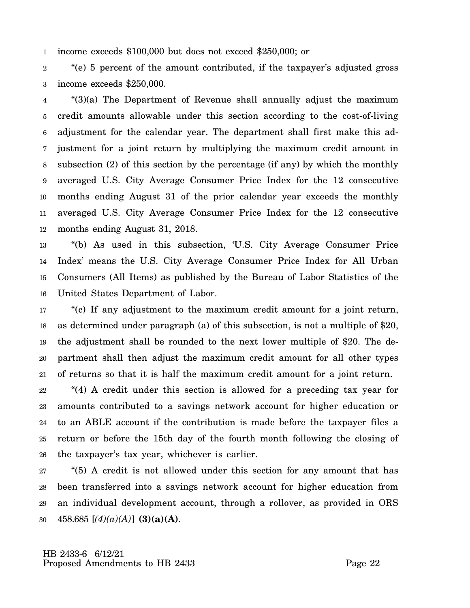1 income exceeds \$100,000 but does not exceed \$250,000; or

2 3 "(e) 5 percent of the amount contributed, if the taxpayer's adjusted gross income exceeds \$250,000.

4 5 6 7 8 9 10 11 12 "(3)(a) The Department of Revenue shall annually adjust the maximum credit amounts allowable under this section according to the cost-of-living adjustment for the calendar year. The department shall first make this adjustment for a joint return by multiplying the maximum credit amount in subsection (2) of this section by the percentage (if any) by which the monthly averaged U.S. City Average Consumer Price Index for the 12 consecutive months ending August 31 of the prior calendar year exceeds the monthly averaged U.S. City Average Consumer Price Index for the 12 consecutive months ending August 31, 2018.

13 14 15 16 "(b) As used in this subsection, 'U.S. City Average Consumer Price Index' means the U.S. City Average Consumer Price Index for All Urban Consumers (All Items) as published by the Bureau of Labor Statistics of the United States Department of Labor.

17 18 19 20 21 "(c) If any adjustment to the maximum credit amount for a joint return, as determined under paragraph (a) of this subsection, is not a multiple of \$20, the adjustment shall be rounded to the next lower multiple of \$20. The department shall then adjust the maximum credit amount for all other types of returns so that it is half the maximum credit amount for a joint return.

22 23 24 25 26 "(4) A credit under this section is allowed for a preceding tax year for amounts contributed to a savings network account for higher education or to an ABLE account if the contribution is made before the taxpayer files a return or before the 15th day of the fourth month following the closing of the taxpayer's tax year, whichever is earlier.

27 28 29 30 "(5) A credit is not allowed under this section for any amount that has been transferred into a savings network account for higher education from an individual development account, through a rollover, as provided in ORS 458.685 [*(4)(a)(A)*] **(3)(a)(A)**.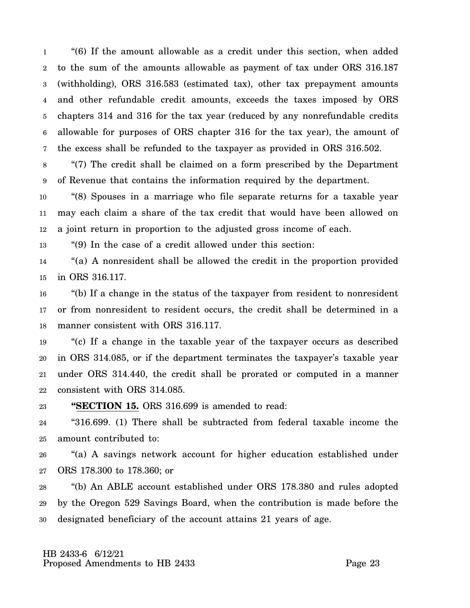1 2 3 4 5 6 7 "(6) If the amount allowable as a credit under this section, when added to the sum of the amounts allowable as payment of tax under ORS 316.187 (withholding), ORS 316.583 (estimated tax), other tax prepayment amounts and other refundable credit amounts, exceeds the taxes imposed by ORS chapters 314 and 316 for the tax year (reduced by any nonrefundable credits allowable for purposes of ORS chapter 316 for the tax year), the amount of the excess shall be refunded to the taxpayer as provided in ORS 316.502.

8 9 "(7) The credit shall be claimed on a form prescribed by the Department of Revenue that contains the information required by the department.

10 11 12 "(8) Spouses in a marriage who file separate returns for a taxable year may each claim a share of the tax credit that would have been allowed on a joint return in proportion to the adjusted gross income of each.

13 "(9) In the case of a credit allowed under this section:

14 15 "(a) A nonresident shall be allowed the credit in the proportion provided in ORS 316.117.

16 17 18 "(b) If a change in the status of the taxpayer from resident to nonresident or from nonresident to resident occurs, the credit shall be determined in a manner consistent with ORS 316.117.

19 20 21 22 "(c) If a change in the taxable year of the taxpayer occurs as described in ORS 314.085, or if the department terminates the taxpayer's taxable year under ORS 314.440, the credit shall be prorated or computed in a manner consistent with ORS 314.085.

23 **"SECTION 15.** ORS 316.699 is amended to read:

24 25 "316.699. (1) There shall be subtracted from federal taxable income the amount contributed to:

26 27 "(a) A savings network account for higher education established under ORS 178.300 to 178.360; or

28 29 30 "(b) An ABLE account established under ORS 178.380 and rules adopted by the Oregon 529 Savings Board, when the contribution is made before the designated beneficiary of the account attains 21 years of age.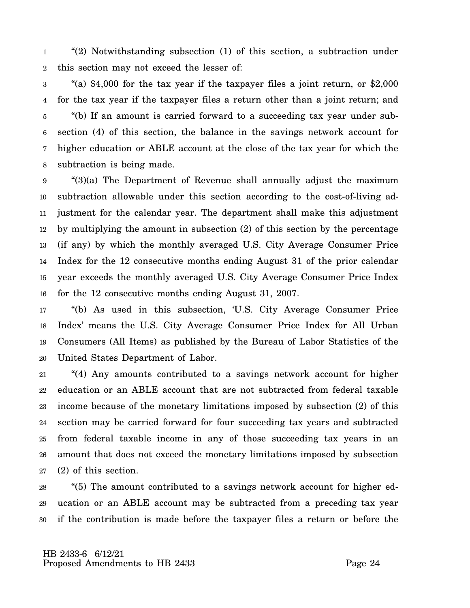1 2 "(2) Notwithstanding subsection (1) of this section, a subtraction under this section may not exceed the lesser of:

3 4 5 6 7 8 "(a) \$4,000 for the tax year if the taxpayer files a joint return, or \$2,000 for the tax year if the taxpayer files a return other than a joint return; and "(b) If an amount is carried forward to a succeeding tax year under subsection (4) of this section, the balance in the savings network account for higher education or ABLE account at the close of the tax year for which the subtraction is being made.

9 10 11 12 13 14 15 16 "(3)(a) The Department of Revenue shall annually adjust the maximum subtraction allowable under this section according to the cost-of-living adjustment for the calendar year. The department shall make this adjustment by multiplying the amount in subsection (2) of this section by the percentage (if any) by which the monthly averaged U.S. City Average Consumer Price Index for the 12 consecutive months ending August 31 of the prior calendar year exceeds the monthly averaged U.S. City Average Consumer Price Index for the 12 consecutive months ending August 31, 2007.

17 18 19 20 "(b) As used in this subsection, 'U.S. City Average Consumer Price Index' means the U.S. City Average Consumer Price Index for All Urban Consumers (All Items) as published by the Bureau of Labor Statistics of the United States Department of Labor.

21 22 23 24 25 26 27 "(4) Any amounts contributed to a savings network account for higher education or an ABLE account that are not subtracted from federal taxable income because of the monetary limitations imposed by subsection (2) of this section may be carried forward for four succeeding tax years and subtracted from federal taxable income in any of those succeeding tax years in an amount that does not exceed the monetary limitations imposed by subsection (2) of this section.

28 29 30 "(5) The amount contributed to a savings network account for higher education or an ABLE account may be subtracted from a preceding tax year if the contribution is made before the taxpayer files a return or before the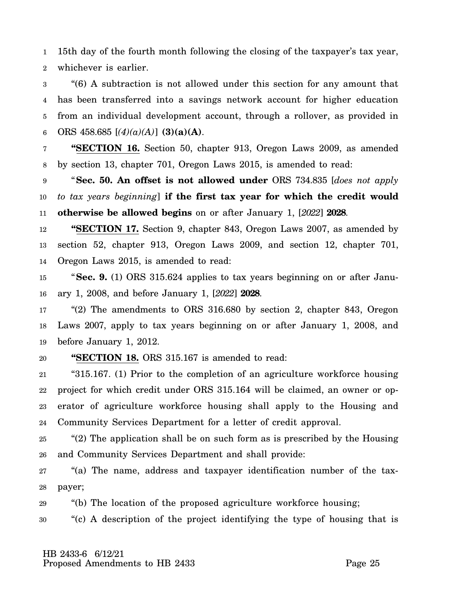1 2 15th day of the fourth month following the closing of the taxpayer's tax year, whichever is earlier.

3 4 5 6 "(6) A subtraction is not allowed under this section for any amount that has been transferred into a savings network account for higher education from an individual development account, through a rollover, as provided in ORS  $458.685$  [ $(4)(a)(A)$ ] **(3)(a)(A)**.

7 8 **"SECTION 16.** Section 50, chapter 913, Oregon Laws 2009, as amended by section 13, chapter 701, Oregon Laws 2015, is amended to read:

9 10 11 "**Sec. 50. An offset is not allowed under** ORS 734.835 [*does not apply to tax years beginning*] **if the first tax year for which the credit would otherwise be allowed begins** on or after January 1, [*2022*] **2028**.

12 13 14 **"SECTION 17.** Section 9, chapter 843, Oregon Laws 2007, as amended by section 52, chapter 913, Oregon Laws 2009, and section 12, chapter 701, Oregon Laws 2015, is amended to read:

15 16 "**Sec. 9.** (1) ORS 315.624 applies to tax years beginning on or after January 1, 2008, and before January 1, [*2022*] **2028**.

17 18 19 "(2) The amendments to ORS 316.680 by section 2, chapter 843, Oregon Laws 2007, apply to tax years beginning on or after January 1, 2008, and before January 1, 2012.

### 20 **"SECTION 18.** ORS 315.167 is amended to read:

21 22 23 24 "315.167. (1) Prior to the completion of an agriculture workforce housing project for which credit under ORS 315.164 will be claimed, an owner or operator of agriculture workforce housing shall apply to the Housing and Community Services Department for a letter of credit approval.

25 26 "(2) The application shall be on such form as is prescribed by the Housing and Community Services Department and shall provide:

27 28 "(a) The name, address and taxpayer identification number of the taxpayer;

29 "(b) The location of the proposed agriculture workforce housing;

30 "(c) A description of the project identifying the type of housing that is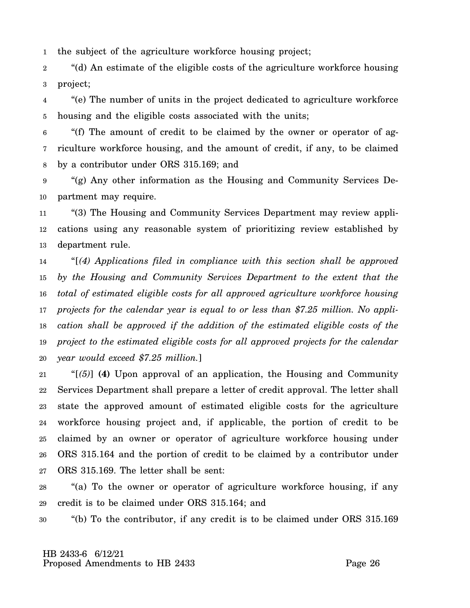1 the subject of the agriculture workforce housing project;

2 3 "(d) An estimate of the eligible costs of the agriculture workforce housing project;

4 5 "(e) The number of units in the project dedicated to agriculture workforce housing and the eligible costs associated with the units;

6 7 8 "(f) The amount of credit to be claimed by the owner or operator of agriculture workforce housing, and the amount of credit, if any, to be claimed by a contributor under ORS 315.169; and

9 10 "(g) Any other information as the Housing and Community Services Department may require.

11 12 13 "(3) The Housing and Community Services Department may review applications using any reasonable system of prioritizing review established by department rule.

14 15 16 17 18 19 20 "[*(4) Applications filed in compliance with this section shall be approved by the Housing and Community Services Department to the extent that the total of estimated eligible costs for all approved agriculture workforce housing projects for the calendar year is equal to or less than \$7.25 million. No application shall be approved if the addition of the estimated eligible costs of the project to the estimated eligible costs for all approved projects for the calendar year would exceed \$7.25 million.*]

21 22 23 24 25 26 27 "[*(5)*] **(4)** Upon approval of an application, the Housing and Community Services Department shall prepare a letter of credit approval. The letter shall state the approved amount of estimated eligible costs for the agriculture workforce housing project and, if applicable, the portion of credit to be claimed by an owner or operator of agriculture workforce housing under ORS 315.164 and the portion of credit to be claimed by a contributor under ORS 315.169. The letter shall be sent:

28 29 "(a) To the owner or operator of agriculture workforce housing, if any credit is to be claimed under ORS 315.164; and

30 "(b) To the contributor, if any credit is to be claimed under ORS 315.169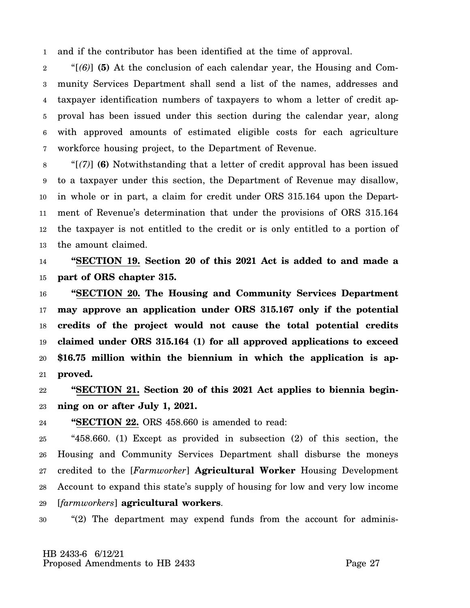1 and if the contributor has been identified at the time of approval.

2 3 4 5 6 7 "[*(6)*] **(5)** At the conclusion of each calendar year, the Housing and Community Services Department shall send a list of the names, addresses and taxpayer identification numbers of taxpayers to whom a letter of credit approval has been issued under this section during the calendar year, along with approved amounts of estimated eligible costs for each agriculture workforce housing project, to the Department of Revenue.

8 9 10 11 12 13 "[*(7)*] **(6)** Notwithstanding that a letter of credit approval has been issued to a taxpayer under this section, the Department of Revenue may disallow, in whole or in part, a claim for credit under ORS 315.164 upon the Department of Revenue's determination that under the provisions of ORS 315.164 the taxpayer is not entitled to the credit or is only entitled to a portion of the amount claimed.

14 15 **"SECTION 19. Section 20 of this 2021 Act is added to and made a part of ORS chapter 315.**

16 17 18 19 20 21 **"SECTION 20. The Housing and Community Services Department may approve an application under ORS 315.167 only if the potential credits of the project would not cause the total potential credits claimed under ORS 315.164 (1) for all approved applications to exceed \$16.75 million within the biennium in which the application is approved.**

22 23 **"SECTION 21. Section 20 of this 2021 Act applies to biennia beginning on or after July 1, 2021.**

24 **"SECTION 22.** ORS 458.660 is amended to read:

25 26 27 28 29 "458.660. (1) Except as provided in subsection (2) of this section, the Housing and Community Services Department shall disburse the moneys credited to the [*Farmworker*] **Agricultural Worker** Housing Development Account to expand this state's supply of housing for low and very low income [*farmworkers*] **agricultural workers**.

30 "(2) The department may expend funds from the account for adminis-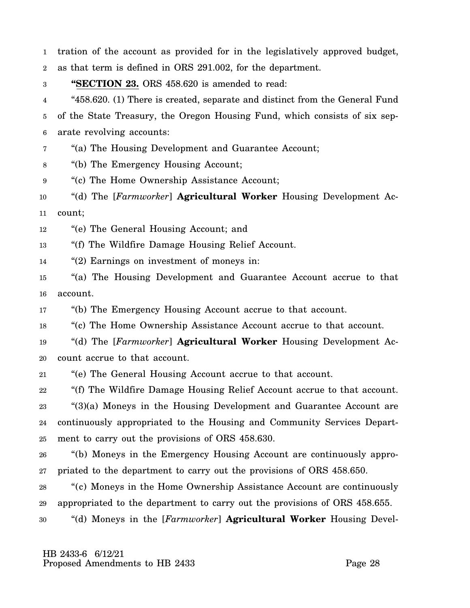1 tration of the account as provided for in the legislatively approved budget,

2 as that term is defined in ORS 291.002, for the department.

3 **"SECTION 23.** ORS 458.620 is amended to read:

4 5 6 "458.620. (1) There is created, separate and distinct from the General Fund of the State Treasury, the Oregon Housing Fund, which consists of six separate revolving accounts:

7 "(a) The Housing Development and Guarantee Account;

8 "(b) The Emergency Housing Account;

9 "(c) The Home Ownership Assistance Account;

10 11 "(d) The [*Farmworker*] **Agricultural Worker** Housing Development Account;

12 "(e) The General Housing Account; and

13 "(f) The Wildfire Damage Housing Relief Account.

14 "(2) Earnings on investment of moneys in:

15 16 "(a) The Housing Development and Guarantee Account accrue to that account.

17 "(b) The Emergency Housing Account accrue to that account.

18 "(c) The Home Ownership Assistance Account accrue to that account.

19 20 "(d) The [*Farmworker*] **Agricultural Worker** Housing Development Account accrue to that account.

21 "(e) The General Housing Account accrue to that account.

22 "(f) The Wildfire Damage Housing Relief Account accrue to that account.

23 24 25 "(3)(a) Moneys in the Housing Development and Guarantee Account are continuously appropriated to the Housing and Community Services Department to carry out the provisions of ORS 458.630.

26 27 "(b) Moneys in the Emergency Housing Account are continuously appropriated to the department to carry out the provisions of ORS 458.650.

28 29 "(c) Moneys in the Home Ownership Assistance Account are continuously appropriated to the department to carry out the provisions of ORS 458.655.

30 "(d) Moneys in the [*Farmworker*] **Agricultural Worker** Housing Devel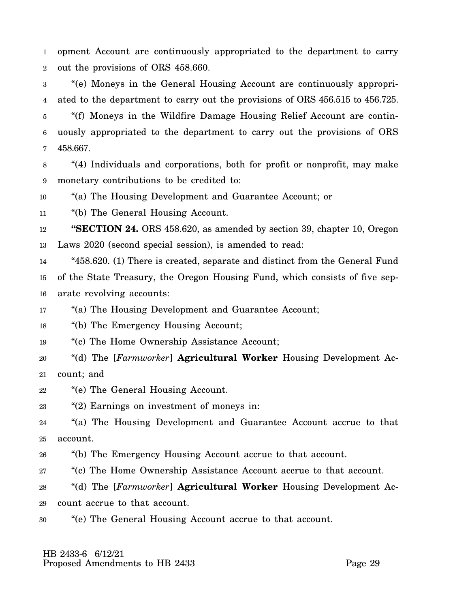1 2 opment Account are continuously appropriated to the department to carry out the provisions of ORS 458.660.

3 4 "(e) Moneys in the General Housing Account are continuously appropriated to the department to carry out the provisions of ORS 456.515 to 456.725.

5 6 7 "(f) Moneys in the Wildfire Damage Housing Relief Account are continuously appropriated to the department to carry out the provisions of ORS 458.667.

8 9 "(4) Individuals and corporations, both for profit or nonprofit, may make monetary contributions to be credited to:

10 "(a) The Housing Development and Guarantee Account; or

11 "(b) The General Housing Account.

12 13 **"SECTION 24.** ORS 458.620, as amended by section 39, chapter 10, Oregon Laws 2020 (second special session), is amended to read:

14 15 16 "458.620. (1) There is created, separate and distinct from the General Fund of the State Treasury, the Oregon Housing Fund, which consists of five separate revolving accounts:

17 "(a) The Housing Development and Guarantee Account;

18 "(b) The Emergency Housing Account;

19 "(c) The Home Ownership Assistance Account;

- 20 21 "(d) The [*Farmworker*] **Agricultural Worker** Housing Development Account; and
- 22 "(e) The General Housing Account.

23 "(2) Earnings on investment of moneys in:

24 25 "(a) The Housing Development and Guarantee Account accrue to that account.

26 "(b) The Emergency Housing Account accrue to that account.

27 "(c) The Home Ownership Assistance Account accrue to that account.

28 29 "(d) The [*Farmworker*] **Agricultural Worker** Housing Development Account accrue to that account.

30 "(e) The General Housing Account accrue to that account.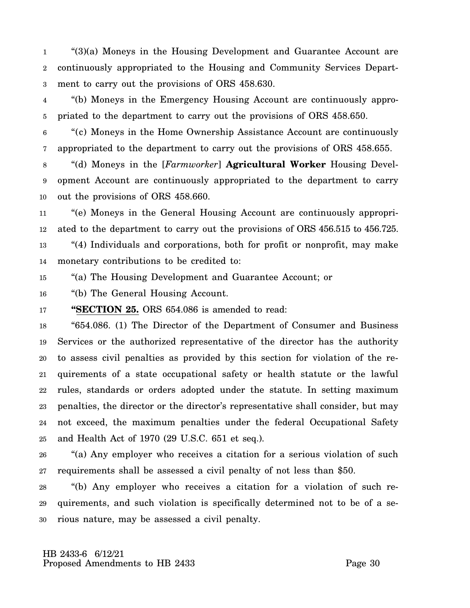1 2 3 "(3)(a) Moneys in the Housing Development and Guarantee Account are continuously appropriated to the Housing and Community Services Department to carry out the provisions of ORS 458.630.

4 5 "(b) Moneys in the Emergency Housing Account are continuously appropriated to the department to carry out the provisions of ORS 458.650.

6 7 "(c) Moneys in the Home Ownership Assistance Account are continuously appropriated to the department to carry out the provisions of ORS 458.655.

8 9 10 "(d) Moneys in the [*Farmworker*] **Agricultural Worker** Housing Development Account are continuously appropriated to the department to carry out the provisions of ORS 458.660.

11 12 13 14 "(e) Moneys in the General Housing Account are continuously appropriated to the department to carry out the provisions of ORS 456.515 to 456.725. "(4) Individuals and corporations, both for profit or nonprofit, may make monetary contributions to be credited to:

15 "(a) The Housing Development and Guarantee Account; or

16 "(b) The General Housing Account.

17 **"SECTION 25.** ORS 654.086 is amended to read:

18 19 20 21 22 23 24 25 "654.086. (1) The Director of the Department of Consumer and Business Services or the authorized representative of the director has the authority to assess civil penalties as provided by this section for violation of the requirements of a state occupational safety or health statute or the lawful rules, standards or orders adopted under the statute. In setting maximum penalties, the director or the director's representative shall consider, but may not exceed, the maximum penalties under the federal Occupational Safety and Health Act of 1970 (29 U.S.C. 651 et seq.).

26 27 "(a) Any employer who receives a citation for a serious violation of such requirements shall be assessed a civil penalty of not less than \$50.

28 29 30 "(b) Any employer who receives a citation for a violation of such requirements, and such violation is specifically determined not to be of a serious nature, may be assessed a civil penalty.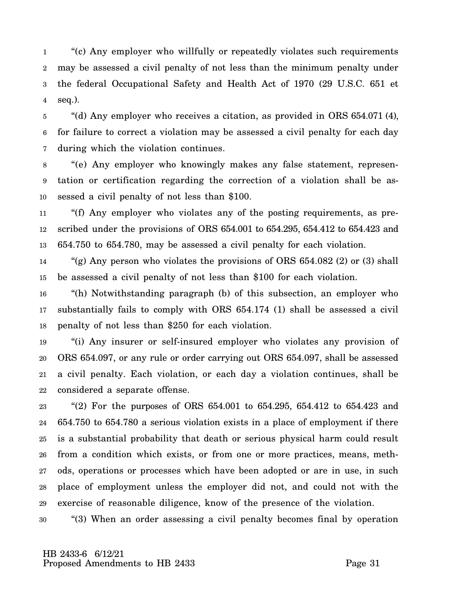1 2 3 4 "(c) Any employer who willfully or repeatedly violates such requirements may be assessed a civil penalty of not less than the minimum penalty under the federal Occupational Safety and Health Act of 1970 (29 U.S.C. 651 et seq.).

5 6 7 "(d) Any employer who receives a citation, as provided in ORS 654.071 (4), for failure to correct a violation may be assessed a civil penalty for each day during which the violation continues.

8 9 10 "(e) Any employer who knowingly makes any false statement, representation or certification regarding the correction of a violation shall be assessed a civil penalty of not less than \$100.

11 12 13 "(f) Any employer who violates any of the posting requirements, as prescribed under the provisions of ORS 654.001 to 654.295, 654.412 to 654.423 and 654.750 to 654.780, may be assessed a civil penalty for each violation.

14 15 "(g) Any person who violates the provisions of ORS 654.082 (2) or (3) shall be assessed a civil penalty of not less than \$100 for each violation.

16 17 18 "(h) Notwithstanding paragraph (b) of this subsection, an employer who substantially fails to comply with ORS 654.174 (1) shall be assessed a civil penalty of not less than \$250 for each violation.

19 20 21 22 "(i) Any insurer or self-insured employer who violates any provision of ORS 654.097, or any rule or order carrying out ORS 654.097, shall be assessed a civil penalty. Each violation, or each day a violation continues, shall be considered a separate offense.

23 24 25 26 27 28 29 "(2) For the purposes of ORS 654.001 to 654.295, 654.412 to 654.423 and 654.750 to 654.780 a serious violation exists in a place of employment if there is a substantial probability that death or serious physical harm could result from a condition which exists, or from one or more practices, means, methods, operations or processes which have been adopted or are in use, in such place of employment unless the employer did not, and could not with the exercise of reasonable diligence, know of the presence of the violation.

30 "(3) When an order assessing a civil penalty becomes final by operation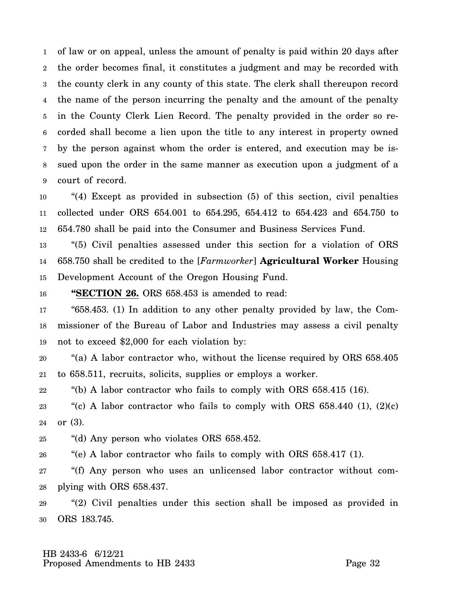1 2 3 4 5 6 7 8 9 of law or on appeal, unless the amount of penalty is paid within 20 days after the order becomes final, it constitutes a judgment and may be recorded with the county clerk in any county of this state. The clerk shall thereupon record the name of the person incurring the penalty and the amount of the penalty in the County Clerk Lien Record. The penalty provided in the order so recorded shall become a lien upon the title to any interest in property owned by the person against whom the order is entered, and execution may be issued upon the order in the same manner as execution upon a judgment of a court of record.

10 11 12 "(4) Except as provided in subsection (5) of this section, civil penalties collected under ORS 654.001 to 654.295, 654.412 to 654.423 and 654.750 to 654.780 shall be paid into the Consumer and Business Services Fund.

13 14 15 "(5) Civil penalties assessed under this section for a violation of ORS 658.750 shall be credited to the [*Farmworker*] **Agricultural Worker** Housing Development Account of the Oregon Housing Fund.

16 **"SECTION 26.** ORS 658.453 is amended to read:

17 18 19 "658.453. (1) In addition to any other penalty provided by law, the Commissioner of the Bureau of Labor and Industries may assess a civil penalty not to exceed \$2,000 for each violation by:

20 21 "(a) A labor contractor who, without the license required by ORS 658.405 to 658.511, recruits, solicits, supplies or employs a worker.

22 "(b) A labor contractor who fails to comply with ORS  $658.415$  (16).

23 24 "(c) A labor contractor who fails to comply with ORS  $658.440$  (1),  $(2)(c)$ or (3).

25 "(d) Any person who violates ORS 658.452.

26 "(e) A labor contractor who fails to comply with ORS 658.417 (1).

27 28 "(f) Any person who uses an unlicensed labor contractor without complying with ORS 658.437.

29 30 "(2) Civil penalties under this section shall be imposed as provided in ORS 183.745.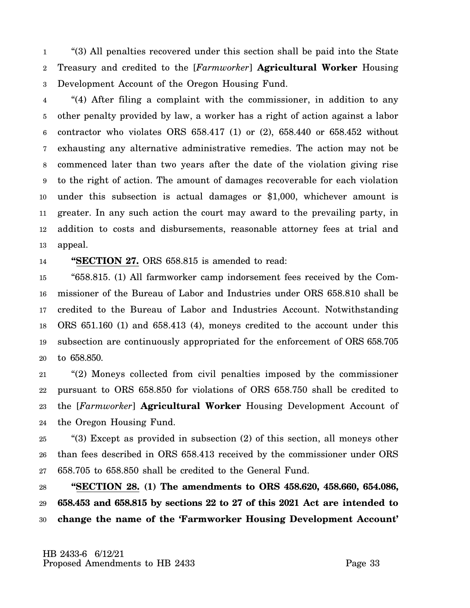1 2 3 "(3) All penalties recovered under this section shall be paid into the State Treasury and credited to the [*Farmworker*] **Agricultural Worker** Housing Development Account of the Oregon Housing Fund.

4 5 6 7 8 9 10 11 12 13 "(4) After filing a complaint with the commissioner, in addition to any other penalty provided by law, a worker has a right of action against a labor contractor who violates ORS  $658.417$  (1) or (2),  $658.440$  or  $658.452$  without exhausting any alternative administrative remedies. The action may not be commenced later than two years after the date of the violation giving rise to the right of action. The amount of damages recoverable for each violation under this subsection is actual damages or \$1,000, whichever amount is greater. In any such action the court may award to the prevailing party, in addition to costs and disbursements, reasonable attorney fees at trial and appeal.

14 **"SECTION 27.** ORS 658.815 is amended to read:

15 16 17 18 19 20 "658.815. (1) All farmworker camp indorsement fees received by the Commissioner of the Bureau of Labor and Industries under ORS 658.810 shall be credited to the Bureau of Labor and Industries Account. Notwithstanding ORS 651.160 (1) and 658.413 (4), moneys credited to the account under this subsection are continuously appropriated for the enforcement of ORS 658.705 to 658.850.

21 22 23 24 "(2) Moneys collected from civil penalties imposed by the commissioner pursuant to ORS 658.850 for violations of ORS 658.750 shall be credited to the [*Farmworker*] **Agricultural Worker** Housing Development Account of the Oregon Housing Fund.

25 26 27 "(3) Except as provided in subsection (2) of this section, all moneys other than fees described in ORS 658.413 received by the commissioner under ORS 658.705 to 658.850 shall be credited to the General Fund.

28 29 30 **"SECTION 28. (1) The amendments to ORS 458.620, 458.660, 654.086, 658.453 and 658.815 by sections 22 to 27 of this 2021 Act are intended to change the name of the 'Farmworker Housing Development Account'**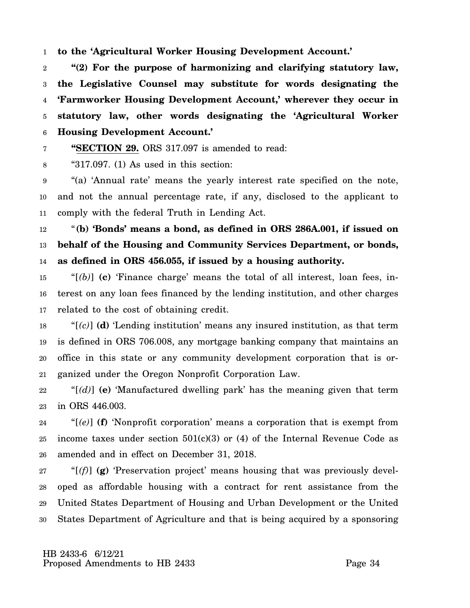1 **to the 'Agricultural Worker Housing Development Account.'**

**"SECTION 29.** ORS 317.097 is amended to read:

2 3 4 5 6 **"(2) For the purpose of harmonizing and clarifying statutory law, the Legislative Counsel may substitute for words designating the 'Farmworker Housing Development Account,' wherever they occur in statutory law, other words designating the 'Agricultural Worker Housing Development Account.'**

7

8 " $317.097$ . (1) As used in this section:

9 10 11 "(a) 'Annual rate' means the yearly interest rate specified on the note, and not the annual percentage rate, if any, disclosed to the applicant to comply with the federal Truth in Lending Act.

12 13 14 "**(b) 'Bonds' means a bond, as defined in ORS 286A.001, if issued on behalf of the Housing and Community Services Department, or bonds, as defined in ORS 456.055, if issued by a housing authority.**

15 16 17 " $[$ (b) $]$  (c) 'Finance charge' means the total of all interest, loan fees, interest on any loan fees financed by the lending institution, and other charges related to the cost of obtaining credit.

18 19 20 21 "[*(c)*] **(d)** 'Lending institution' means any insured institution, as that term is defined in ORS 706.008, any mortgage banking company that maintains an office in this state or any community development corporation that is organized under the Oregon Nonprofit Corporation Law.

22 23 " $[(d)]$  (e) 'Manufactured dwelling park' has the meaning given that term in ORS 446.003.

24 25 26 "[*(e)*] **(f)** 'Nonprofit corporation' means a corporation that is exempt from income taxes under section  $501(c)(3)$  or (4) of the Internal Revenue Code as amended and in effect on December 31, 2018.

27 28 29 30 "[*(f)*] **(g)** 'Preservation project' means housing that was previously developed as affordable housing with a contract for rent assistance from the United States Department of Housing and Urban Development or the United States Department of Agriculture and that is being acquired by a sponsoring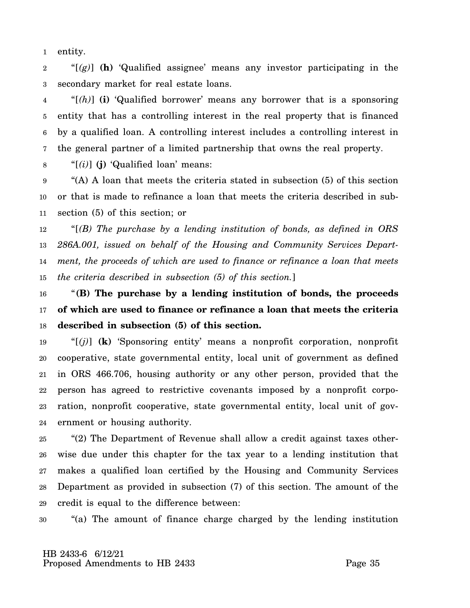1 entity.

2 3 " $[(g)]$  (h) 'Qualified assignee' means any investor participating in the secondary market for real estate loans.

4 5 6 7 "[*(h)*] **(i)** 'Qualified borrower' means any borrower that is a sponsoring entity that has a controlling interest in the real property that is financed by a qualified loan. A controlling interest includes a controlling interest in the general partner of a limited partnership that owns the real property.

8 "[*(i)*] **(j)** 'Qualified loan' means:

9 10 11 "(A) A loan that meets the criteria stated in subsection (5) of this section or that is made to refinance a loan that meets the criteria described in subsection (5) of this section; or

12 13 14 15 "[*(B) The purchase by a lending institution of bonds, as defined in ORS 286A.001, issued on behalf of the Housing and Community Services Department, the proceeds of which are used to finance or refinance a loan that meets the criteria described in subsection (5) of this section.*]

16 17 18 "**(B) The purchase by a lending institution of bonds, the proceeds of which are used to finance or refinance a loan that meets the criteria described in subsection (5) of this section.**

19 20 21 22 23 24 "[*(j)*] **(k)** 'Sponsoring entity' means a nonprofit corporation, nonprofit cooperative, state governmental entity, local unit of government as defined in ORS 466.706, housing authority or any other person, provided that the person has agreed to restrictive covenants imposed by a nonprofit corporation, nonprofit cooperative, state governmental entity, local unit of government or housing authority.

25 26 27 28 29 "(2) The Department of Revenue shall allow a credit against taxes otherwise due under this chapter for the tax year to a lending institution that makes a qualified loan certified by the Housing and Community Services Department as provided in subsection (7) of this section. The amount of the credit is equal to the difference between:

30 "(a) The amount of finance charge charged by the lending institution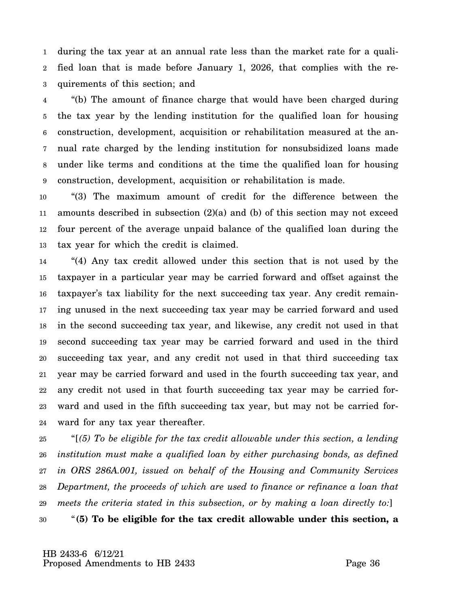1 2 3 during the tax year at an annual rate less than the market rate for a qualified loan that is made before January 1, 2026, that complies with the requirements of this section; and

4 5 6 7 8 9 "(b) The amount of finance charge that would have been charged during the tax year by the lending institution for the qualified loan for housing construction, development, acquisition or rehabilitation measured at the annual rate charged by the lending institution for nonsubsidized loans made under like terms and conditions at the time the qualified loan for housing construction, development, acquisition or rehabilitation is made.

10 11 12 13 "(3) The maximum amount of credit for the difference between the amounts described in subsection  $(2)(a)$  and (b) of this section may not exceed four percent of the average unpaid balance of the qualified loan during the tax year for which the credit is claimed.

14 15 16 17 18 19 20 21 22 23 24 "(4) Any tax credit allowed under this section that is not used by the taxpayer in a particular year may be carried forward and offset against the taxpayer's tax liability for the next succeeding tax year. Any credit remaining unused in the next succeeding tax year may be carried forward and used in the second succeeding tax year, and likewise, any credit not used in that second succeeding tax year may be carried forward and used in the third succeeding tax year, and any credit not used in that third succeeding tax year may be carried forward and used in the fourth succeeding tax year, and any credit not used in that fourth succeeding tax year may be carried forward and used in the fifth succeeding tax year, but may not be carried forward for any tax year thereafter.

25 26 27 28 29 "[*(5) To be eligible for the tax credit allowable under this section, a lending institution must make a qualified loan by either purchasing bonds, as defined in ORS 286A.001, issued on behalf of the Housing and Community Services Department, the proceeds of which are used to finance or refinance a loan that meets the criteria stated in this subsection, or by making a loan directly to:*]

30 "**(5) To be eligible for the tax credit allowable under this section, a**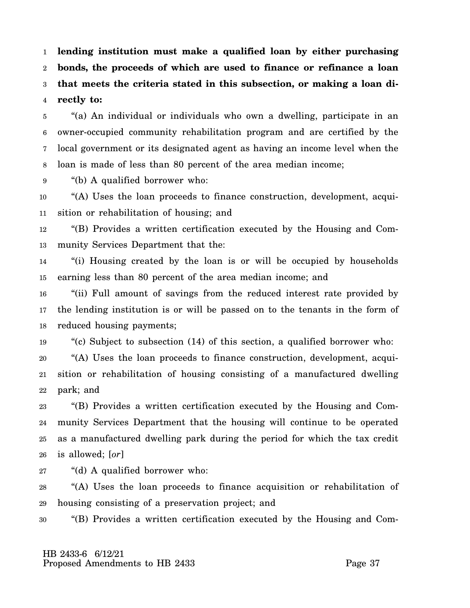1 2 3 4 **lending institution must make a qualified loan by either purchasing bonds, the proceeds of which are used to finance or refinance a loan that meets the criteria stated in this subsection, or making a loan directly to:**

5 6 7 8 "(a) An individual or individuals who own a dwelling, participate in an owner-occupied community rehabilitation program and are certified by the local government or its designated agent as having an income level when the loan is made of less than 80 percent of the area median income;

9 "(b) A qualified borrower who:

10 11 "(A) Uses the loan proceeds to finance construction, development, acquisition or rehabilitation of housing; and

12 13 "(B) Provides a written certification executed by the Housing and Community Services Department that the:

14 15 "(i) Housing created by the loan is or will be occupied by households earning less than 80 percent of the area median income; and

16 17 18 "(ii) Full amount of savings from the reduced interest rate provided by the lending institution is or will be passed on to the tenants in the form of reduced housing payments;

19 "(c) Subject to subsection (14) of this section, a qualified borrower who:

20 21 22 "(A) Uses the loan proceeds to finance construction, development, acquisition or rehabilitation of housing consisting of a manufactured dwelling park; and

23 24 25 26 "(B) Provides a written certification executed by the Housing and Community Services Department that the housing will continue to be operated as a manufactured dwelling park during the period for which the tax credit is allowed; [*or*]

27 "(d) A qualified borrower who:

28 29 "(A) Uses the loan proceeds to finance acquisition or rehabilitation of housing consisting of a preservation project; and

30 "(B) Provides a written certification executed by the Housing and Com-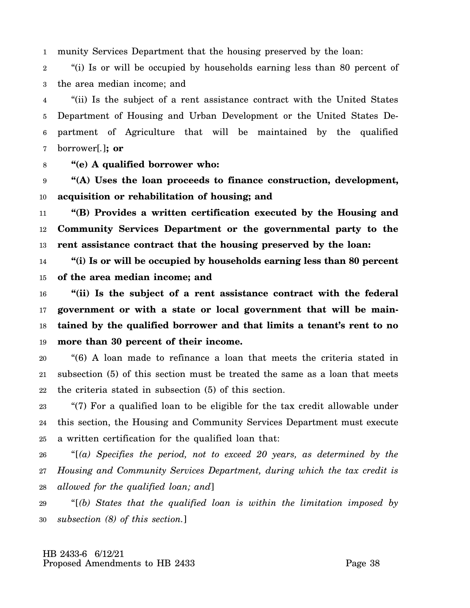1 munity Services Department that the housing preserved by the loan:

2 3 "(i) Is or will be occupied by households earning less than 80 percent of the area median income; and

4 5 6 7 "(ii) Is the subject of a rent assistance contract with the United States Department of Housing and Urban Development or the United States Department of Agriculture that will be maintained by the qualified borrower[*.*]**; or**

8 **"(e) A qualified borrower who:**

9 10 **"(A) Uses the loan proceeds to finance construction, development, acquisition or rehabilitation of housing; and**

11 12 13 **"(B) Provides a written certification executed by the Housing and Community Services Department or the governmental party to the rent assistance contract that the housing preserved by the loan:**

14 15 **"(i) Is or will be occupied by households earning less than 80 percent of the area median income; and**

16 17 18 19 **"(ii) Is the subject of a rent assistance contract with the federal government or with a state or local government that will be maintained by the qualified borrower and that limits a tenant's rent to no more than 30 percent of their income.**

20 21 22 "(6) A loan made to refinance a loan that meets the criteria stated in subsection (5) of this section must be treated the same as a loan that meets the criteria stated in subsection (5) of this section.

23 24 25 "(7) For a qualified loan to be eligible for the tax credit allowable under this section, the Housing and Community Services Department must execute a written certification for the qualified loan that:

26 27 28 "[*(a) Specifies the period, not to exceed 20 years, as determined by the Housing and Community Services Department, during which the tax credit is allowed for the qualified loan; and*]

29 30 "[*(b) States that the qualified loan is within the limitation imposed by subsection (8) of this section.*]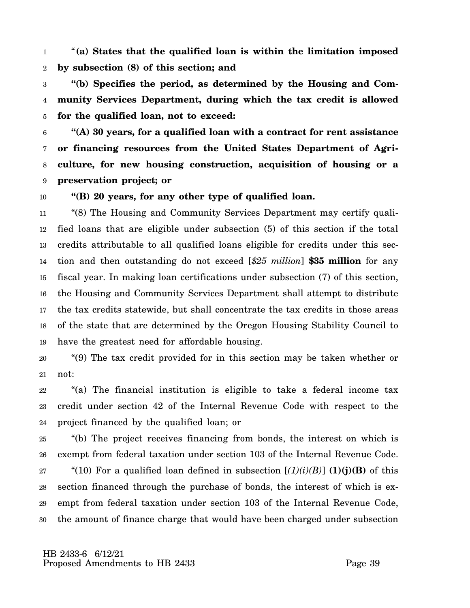1 2 "**(a) States that the qualified loan is within the limitation imposed by subsection (8) of this section; and**

3 4 5 **"(b) Specifies the period, as determined by the Housing and Community Services Department, during which the tax credit is allowed for the qualified loan, not to exceed:**

6 7 8 9 **"(A) 30 years, for a qualified loan with a contract for rent assistance or financing resources from the United States Department of Agriculture, for new housing construction, acquisition of housing or a preservation project; or**

10

## **"(B) 20 years, for any other type of qualified loan.**

11 12 13 14 15 16 17 18 19 "(8) The Housing and Community Services Department may certify qualified loans that are eligible under subsection (5) of this section if the total credits attributable to all qualified loans eligible for credits under this section and then outstanding do not exceed [*\$25 million*] **\$35 million** for any fiscal year. In making loan certifications under subsection (7) of this section, the Housing and Community Services Department shall attempt to distribute the tax credits statewide, but shall concentrate the tax credits in those areas of the state that are determined by the Oregon Housing Stability Council to have the greatest need for affordable housing.

20 21 "(9) The tax credit provided for in this section may be taken whether or not:

22 23 24 "(a) The financial institution is eligible to take a federal income tax credit under section 42 of the Internal Revenue Code with respect to the project financed by the qualified loan; or

25 26 27 28 29 30 "(b) The project receives financing from bonds, the interest on which is exempt from federal taxation under section 103 of the Internal Revenue Code. "(10) For a qualified loan defined in subsection  $[(1)(i)(B)]$  **(1)(j)(B)** of this section financed through the purchase of bonds, the interest of which is exempt from federal taxation under section 103 of the Internal Revenue Code, the amount of finance charge that would have been charged under subsection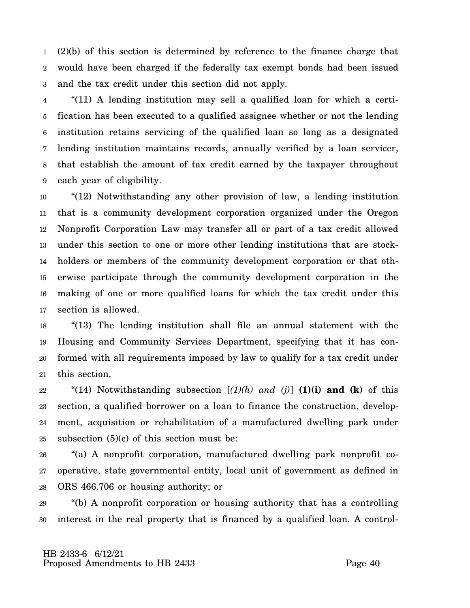1 2 3 (2)(b) of this section is determined by reference to the finance charge that would have been charged if the federally tax exempt bonds had been issued and the tax credit under this section did not apply.

4 5 6 7 8 9 "(11) A lending institution may sell a qualified loan for which a certification has been executed to a qualified assignee whether or not the lending institution retains servicing of the qualified loan so long as a designated lending institution maintains records, annually verified by a loan servicer, that establish the amount of tax credit earned by the taxpayer throughout each year of eligibility.

10 11 12 13 14 15 16 17 "(12) Notwithstanding any other provision of law, a lending institution that is a community development corporation organized under the Oregon Nonprofit Corporation Law may transfer all or part of a tax credit allowed under this section to one or more other lending institutions that are stockholders or members of the community development corporation or that otherwise participate through the community development corporation in the making of one or more qualified loans for which the tax credit under this section is allowed.

18 19 20 21 "(13) The lending institution shall file an annual statement with the Housing and Community Services Department, specifying that it has conformed with all requirements imposed by law to qualify for a tax credit under this section.

22 23 24 25 "(14) Notwithstanding subsection  $[(1)(h)$  and  $(j)]$  **(1)(i) and (k)** of this section, a qualified borrower on a loan to finance the construction, development, acquisition or rehabilitation of a manufactured dwelling park under subsection  $(5)(c)$  of this section must be:

26 27 28 "(a) A nonprofit corporation, manufactured dwelling park nonprofit cooperative, state governmental entity, local unit of government as defined in ORS 466.706 or housing authority; or

29 30 "(b) A nonprofit corporation or housing authority that has a controlling interest in the real property that is financed by a qualified loan. A control-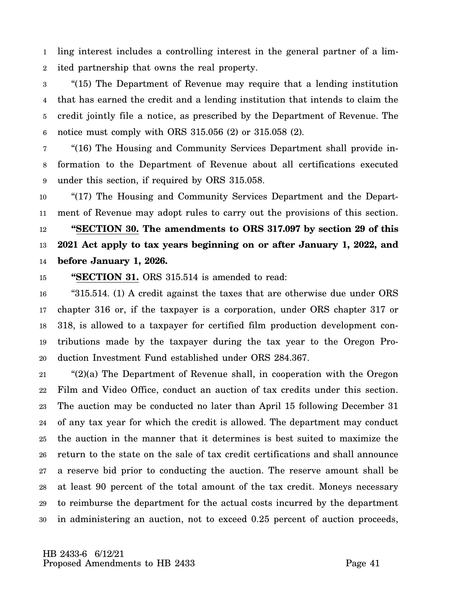1 2 ling interest includes a controlling interest in the general partner of a limited partnership that owns the real property.

3 4 5 6 "(15) The Department of Revenue may require that a lending institution that has earned the credit and a lending institution that intends to claim the credit jointly file a notice, as prescribed by the Department of Revenue. The notice must comply with ORS 315.056 (2) or 315.058 (2).

7 8 9 "(16) The Housing and Community Services Department shall provide information to the Department of Revenue about all certifications executed under this section, if required by ORS 315.058.

10 11 12 13 14 "(17) The Housing and Community Services Department and the Department of Revenue may adopt rules to carry out the provisions of this section. **"SECTION 30. The amendments to ORS 317.097 by section 29 of this 2021 Act apply to tax years beginning on or after January 1, 2022, and before January 1, 2026.**

15 **"SECTION 31.** ORS 315.514 is amended to read:

16 17 18 19 20 "315.514. (1) A credit against the taxes that are otherwise due under ORS chapter 316 or, if the taxpayer is a corporation, under ORS chapter 317 or 318, is allowed to a taxpayer for certified film production development contributions made by the taxpayer during the tax year to the Oregon Production Investment Fund established under ORS 284.367.

21 22 23 24 25 26 27 28 29 30 "(2)(a) The Department of Revenue shall, in cooperation with the Oregon Film and Video Office, conduct an auction of tax credits under this section. The auction may be conducted no later than April 15 following December 31 of any tax year for which the credit is allowed. The department may conduct the auction in the manner that it determines is best suited to maximize the return to the state on the sale of tax credit certifications and shall announce a reserve bid prior to conducting the auction. The reserve amount shall be at least 90 percent of the total amount of the tax credit. Moneys necessary to reimburse the department for the actual costs incurred by the department in administering an auction, not to exceed 0.25 percent of auction proceeds,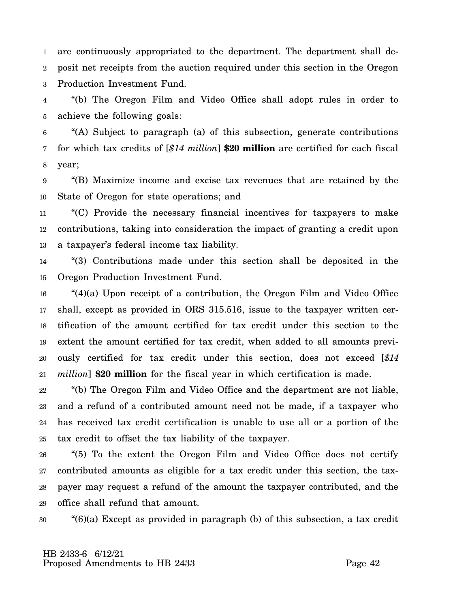1 2 3 are continuously appropriated to the department. The department shall deposit net receipts from the auction required under this section in the Oregon Production Investment Fund.

4 5 "(b) The Oregon Film and Video Office shall adopt rules in order to achieve the following goals:

6 7 8 "(A) Subject to paragraph (a) of this subsection, generate contributions for which tax credits of [*\$14 million*] **\$20 million** are certified for each fiscal year;

9 10 "(B) Maximize income and excise tax revenues that are retained by the State of Oregon for state operations; and

11 12 13 "(C) Provide the necessary financial incentives for taxpayers to make contributions, taking into consideration the impact of granting a credit upon a taxpayer's federal income tax liability.

14 15 "(3) Contributions made under this section shall be deposited in the Oregon Production Investment Fund.

16 17 18 19 20 21 "(4)(a) Upon receipt of a contribution, the Oregon Film and Video Office shall, except as provided in ORS 315.516, issue to the taxpayer written certification of the amount certified for tax credit under this section to the extent the amount certified for tax credit, when added to all amounts previously certified for tax credit under this section, does not exceed [*\$14 million*] **\$20 million** for the fiscal year in which certification is made.

22 23 24 25 "(b) The Oregon Film and Video Office and the department are not liable, and a refund of a contributed amount need not be made, if a taxpayer who has received tax credit certification is unable to use all or a portion of the tax credit to offset the tax liability of the taxpayer.

26 27 28 29 "(5) To the extent the Oregon Film and Video Office does not certify contributed amounts as eligible for a tax credit under this section, the taxpayer may request a refund of the amount the taxpayer contributed, and the office shall refund that amount.

30 "(6)(a) Except as provided in paragraph (b) of this subsection, a tax credit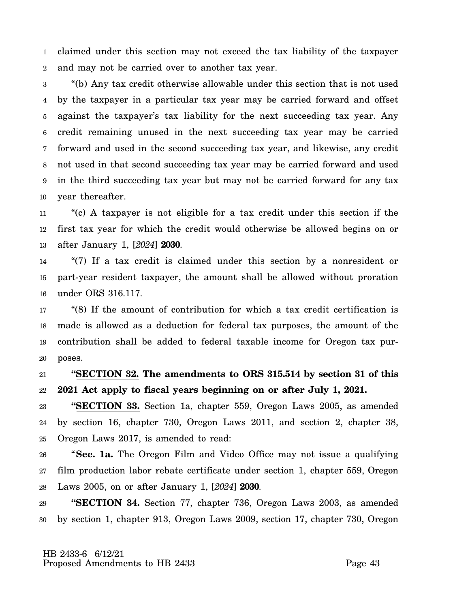1 2 claimed under this section may not exceed the tax liability of the taxpayer and may not be carried over to another tax year.

3 4 5 6 7 8 9 10 "(b) Any tax credit otherwise allowable under this section that is not used by the taxpayer in a particular tax year may be carried forward and offset against the taxpayer's tax liability for the next succeeding tax year. Any credit remaining unused in the next succeeding tax year may be carried forward and used in the second succeeding tax year, and likewise, any credit not used in that second succeeding tax year may be carried forward and used in the third succeeding tax year but may not be carried forward for any tax year thereafter.

11 12 13 "(c) A taxpayer is not eligible for a tax credit under this section if the first tax year for which the credit would otherwise be allowed begins on or after January 1, [*2024*] **2030**.

14 15 16 "(7) If a tax credit is claimed under this section by a nonresident or part-year resident taxpayer, the amount shall be allowed without proration under ORS 316.117.

17 18 19 20 "(8) If the amount of contribution for which a tax credit certification is made is allowed as a deduction for federal tax purposes, the amount of the contribution shall be added to federal taxable income for Oregon tax purposes.

21 22 **"SECTION 32. The amendments to ORS 315.514 by section 31 of this 2021 Act apply to fiscal years beginning on or after July 1, 2021.**

23 24 25 **"SECTION 33.** Section 1a, chapter 559, Oregon Laws 2005, as amended by section 16, chapter 730, Oregon Laws 2011, and section 2, chapter 38, Oregon Laws 2017, is amended to read:

26 27 28 "**Sec. 1a.** The Oregon Film and Video Office may not issue a qualifying film production labor rebate certificate under section 1, chapter 559, Oregon Laws 2005, on or after January 1, [*2024*] **2030**.

29 30 **"SECTION 34.** Section 77, chapter 736, Oregon Laws 2003, as amended by section 1, chapter 913, Oregon Laws 2009, section 17, chapter 730, Oregon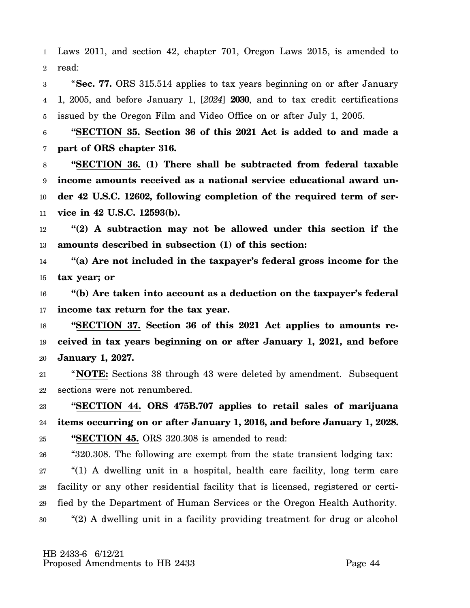1 2 Laws 2011, and section 42, chapter 701, Oregon Laws 2015, is amended to read:

3 4 5 "**Sec. 77.** ORS 315.514 applies to tax years beginning on or after January 1, 2005, and before January 1, [*2024*] **2030**, and to tax credit certifications issued by the Oregon Film and Video Office on or after July 1, 2005.

6 7 **"SECTION 35. Section 36 of this 2021 Act is added to and made a part of ORS chapter 316.**

8 9 10 11 **"SECTION 36. (1) There shall be subtracted from federal taxable income amounts received as a national service educational award under 42 U.S.C. 12602, following completion of the required term of service in 42 U.S.C. 12593(b).**

12 13 **"(2) A subtraction may not be allowed under this section if the amounts described in subsection (1) of this section:**

14 15 **"(a) Are not included in the taxpayer's federal gross income for the tax year; or**

16 17 **"(b) Are taken into account as a deduction on the taxpayer's federal income tax return for the tax year.**

18 19 20 **"SECTION 37. Section 36 of this 2021 Act applies to amounts received in tax years beginning on or after January 1, 2021, and before January 1, 2027.**

21 22 "**NOTE:** Sections 38 through 43 were deleted by amendment. Subsequent sections were not renumbered.

23 24 25 **"SECTION 44. ORS 475B.707 applies to retail sales of marijuana items occurring on or after January 1, 2016, and before January 1, 2028. "SECTION 45.** ORS 320.308 is amended to read:

26 "320.308. The following are exempt from the state transient lodging tax:

27 28 29 30 "(1) A dwelling unit in a hospital, health care facility, long term care facility or any other residential facility that is licensed, registered or certified by the Department of Human Services or the Oregon Health Authority. "(2) A dwelling unit in a facility providing treatment for drug or alcohol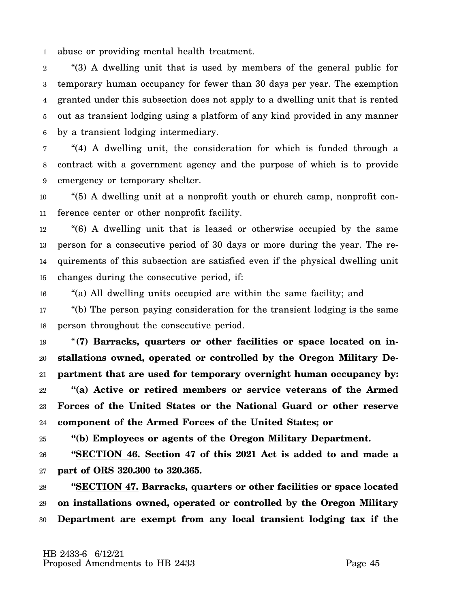1 abuse or providing mental health treatment.

2 3 4 5 6 "(3) A dwelling unit that is used by members of the general public for temporary human occupancy for fewer than 30 days per year. The exemption granted under this subsection does not apply to a dwelling unit that is rented out as transient lodging using a platform of any kind provided in any manner by a transient lodging intermediary.

7 8 9 "(4) A dwelling unit, the consideration for which is funded through a contract with a government agency and the purpose of which is to provide emergency or temporary shelter.

10 11 "(5) A dwelling unit at a nonprofit youth or church camp, nonprofit conference center or other nonprofit facility.

12 13 14 15 "(6) A dwelling unit that is leased or otherwise occupied by the same person for a consecutive period of 30 days or more during the year. The requirements of this subsection are satisfied even if the physical dwelling unit changes during the consecutive period, if:

16 "(a) All dwelling units occupied are within the same facility; and

17 18 "(b) The person paying consideration for the transient lodging is the same person throughout the consecutive period.

19 20 21 22 23 24 "**(7) Barracks, quarters or other facilities or space located on installations owned, operated or controlled by the Oregon Military Department that are used for temporary overnight human occupancy by: "(a) Active or retired members or service veterans of the Armed Forces of the United States or the National Guard or other reserve component of the Armed Forces of the United States; or**

25 **"(b) Employees or agents of the Oregon Military Department.**

26 27 **"SECTION 46. Section 47 of this 2021 Act is added to and made a part of ORS 320.300 to 320.365.**

28 29 30 **"SECTION 47. Barracks, quarters or other facilities or space located on installations owned, operated or controlled by the Oregon Military Department are exempt from any local transient lodging tax if the**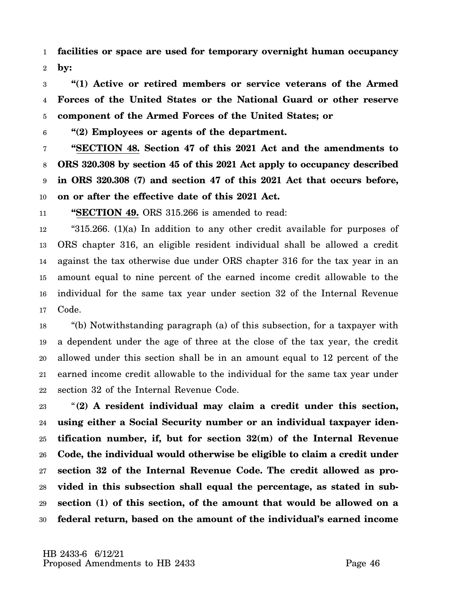1 2 **facilities or space are used for temporary overnight human occupancy by:**

3 4 5 **"(1) Active or retired members or service veterans of the Armed Forces of the United States or the National Guard or other reserve component of the Armed Forces of the United States; or**

6 **"(2) Employees or agents of the department.**

7 8 9 10 **"SECTION 48. Section 47 of this 2021 Act and the amendments to ORS 320.308 by section 45 of this 2021 Act apply to occupancy described in ORS 320.308 (7) and section 47 of this 2021 Act that occurs before, on or after the effective date of this 2021 Act.**

11 **"SECTION 49.** ORS 315.266 is amended to read:

12 13 14 15 16 17 "315.266. (1)(a) In addition to any other credit available for purposes of ORS chapter 316, an eligible resident individual shall be allowed a credit against the tax otherwise due under ORS chapter 316 for the tax year in an amount equal to nine percent of the earned income credit allowable to the individual for the same tax year under section 32 of the Internal Revenue Code.

18 19 20 21 22 "(b) Notwithstanding paragraph (a) of this subsection, for a taxpayer with a dependent under the age of three at the close of the tax year, the credit allowed under this section shall be in an amount equal to 12 percent of the earned income credit allowable to the individual for the same tax year under section 32 of the Internal Revenue Code.

23 24 25 26 27 28 29 30 "**(2) A resident individual may claim a credit under this section, using either a Social Security number or an individual taxpayer identification number, if, but for section 32(m) of the Internal Revenue Code, the individual would otherwise be eligible to claim a credit under section 32 of the Internal Revenue Code. The credit allowed as provided in this subsection shall equal the percentage, as stated in subsection (1) of this section, of the amount that would be allowed on a federal return, based on the amount of the individual's earned income**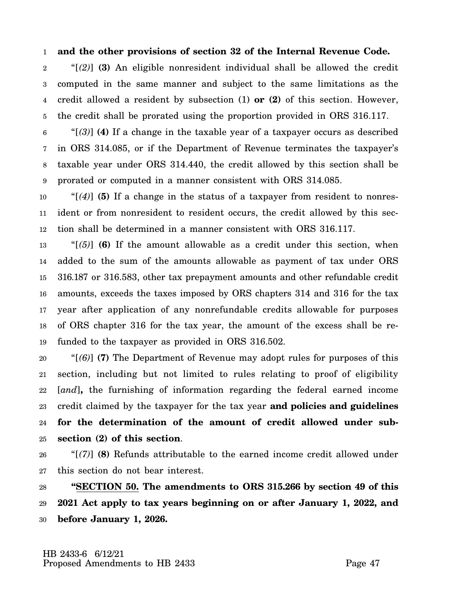#### 1 **and the other provisions of section 32 of the Internal Revenue Code.**

2 3 4 5 "[*(2)*] **(3)** An eligible nonresident individual shall be allowed the credit computed in the same manner and subject to the same limitations as the credit allowed a resident by subsection (1) **or (2)** of this section. However, the credit shall be prorated using the proportion provided in ORS 316.117.

6 7 8 9 "[*(3)*] **(4)** If a change in the taxable year of a taxpayer occurs as described in ORS 314.085, or if the Department of Revenue terminates the taxpayer's taxable year under ORS 314.440, the credit allowed by this section shall be prorated or computed in a manner consistent with ORS 314.085.

10 11 12 "[*(4)*] **(5)** If a change in the status of a taxpayer from resident to nonresident or from nonresident to resident occurs, the credit allowed by this section shall be determined in a manner consistent with ORS 316.117.

13 14 15 16 17 18 19 " $(5)$ ] **(6)** If the amount allowable as a credit under this section, when added to the sum of the amounts allowable as payment of tax under ORS 316.187 or 316.583, other tax prepayment amounts and other refundable credit amounts, exceeds the taxes imposed by ORS chapters 314 and 316 for the tax year after application of any nonrefundable credits allowable for purposes of ORS chapter 316 for the tax year, the amount of the excess shall be refunded to the taxpayer as provided in ORS 316.502.

20 21 22 23 24 25 "[*(6)*] **(7)** The Department of Revenue may adopt rules for purposes of this section, including but not limited to rules relating to proof of eligibility [*and*]**,** the furnishing of information regarding the federal earned income credit claimed by the taxpayer for the tax year **and policies and guidelines for the determination of the amount of credit allowed under subsection (2) of this section**.

26 27 "[*(7)*] **(8)** Refunds attributable to the earned income credit allowed under this section do not bear interest.

28 29 30 **"SECTION 50. The amendments to ORS 315.266 by section 49 of this 2021 Act apply to tax years beginning on or after January 1, 2022, and before January 1, 2026.**